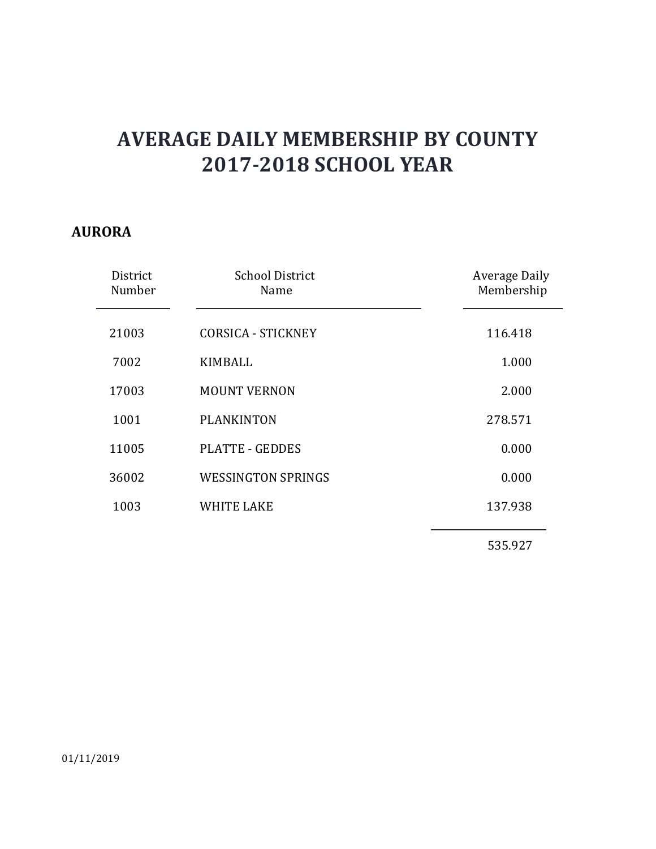#### **AURORA**

| District<br>Number | <b>School District</b><br>Name | <b>Average Daily</b><br>Membership |
|--------------------|--------------------------------|------------------------------------|
| 21003              | <b>CORSICA - STICKNEY</b>      | 116.418                            |
| 7002               | <b>KIMBALL</b>                 | 1.000                              |
| 17003              | <b>MOUNT VERNON</b>            | 2.000                              |
| 1001               | <b>PLANKINTON</b>              | 278.571                            |
| 11005              | <b>PLATTE - GEDDES</b>         | 0.000                              |
| 36002              | <b>WESSINGTON SPRINGS</b>      | 0.000                              |
| 1003               | <b>WHITE LAKE</b>              | 137.938                            |
|                    |                                | 535.927                            |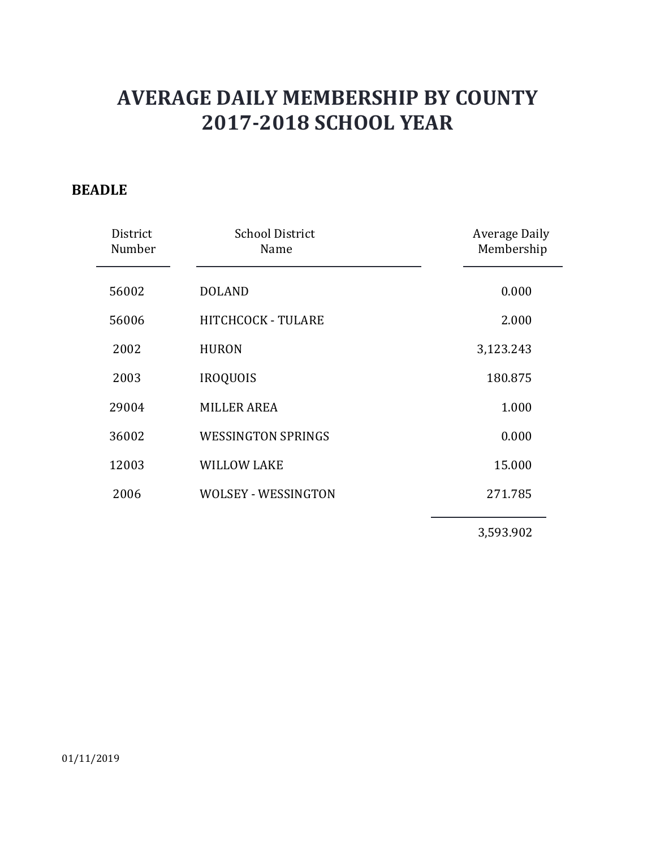### **BEADLE**

| District<br>Number | <b>School District</b><br>Name | Average Daily<br>Membership |
|--------------------|--------------------------------|-----------------------------|
| 56002              | <b>DOLAND</b>                  | 0.000                       |
| 56006              | HITCHCOCK - TULARE             | 2.000                       |
| 2002               | <b>HURON</b>                   | 3,123.243                   |
| 2003               | <b>IROQUOIS</b>                | 180.875                     |
| 29004              | <b>MILLER AREA</b>             | 1.000                       |
| 36002              | <b>WESSINGTON SPRINGS</b>      | 0.000                       |
| 12003              | <b>WILLOW LAKE</b>             | 15.000                      |
| 2006               | <b>WOLSEY - WESSINGTON</b>     | 271.785                     |
|                    |                                | 3,593.902                   |

01/11/2019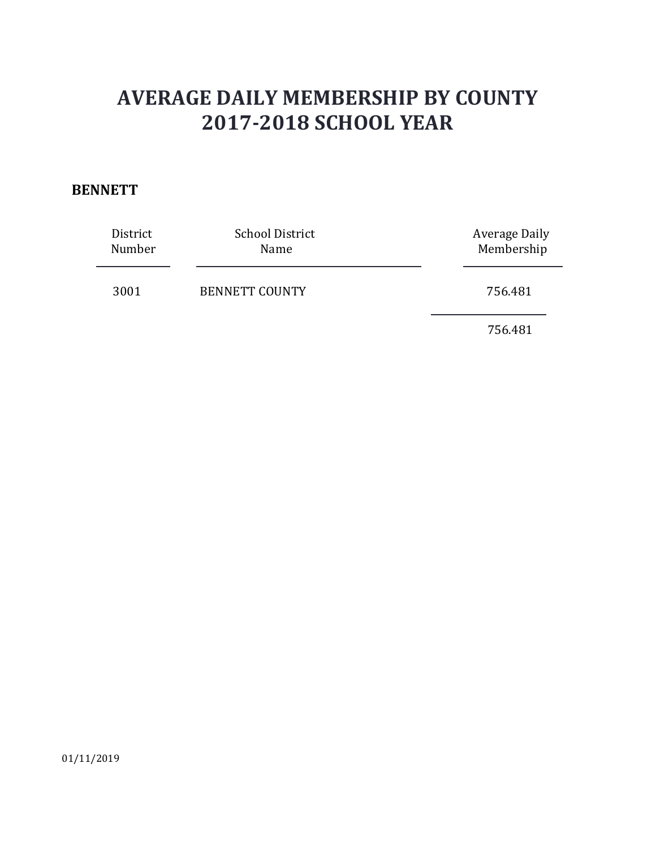#### **BENNETT**

| District | <b>School District</b> | Average Daily |
|----------|------------------------|---------------|
| Number   | Name                   | Membership    |
| 3001     | <b>BENNETT COUNTY</b>  | 756.481       |

756.481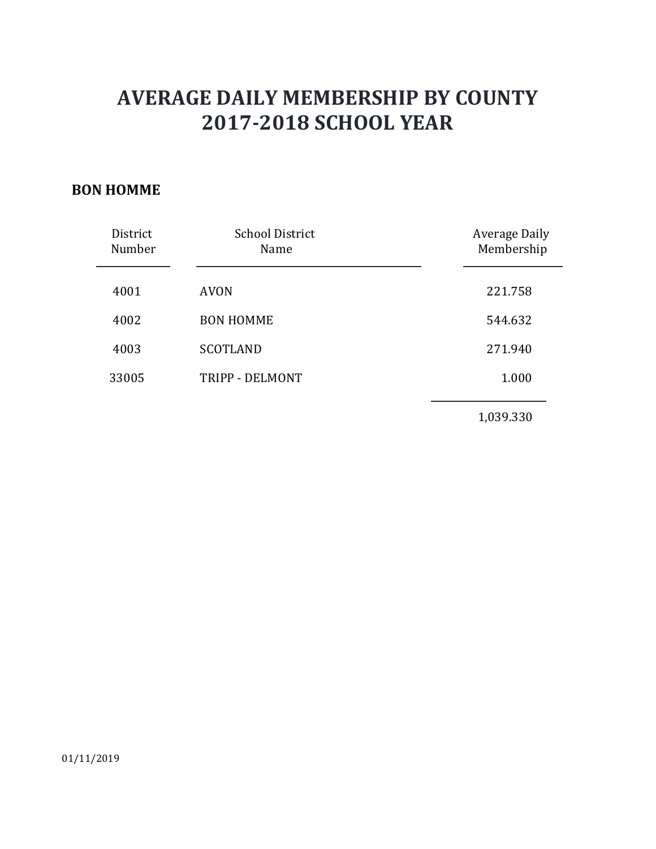#### **BON HOMME**

| District<br>Number | <b>School District</b><br>Name | Average Daily<br>Membership |
|--------------------|--------------------------------|-----------------------------|
| 4001               | <b>AVON</b>                    | 221.758                     |
| 4002               | <b>BON HOMME</b>               | 544.632                     |
| 4003               | <b>SCOTLAND</b>                | 271.940                     |
| 33005              | TRIPP - DELMONT                | 1.000                       |
|                    |                                | 1,039.330                   |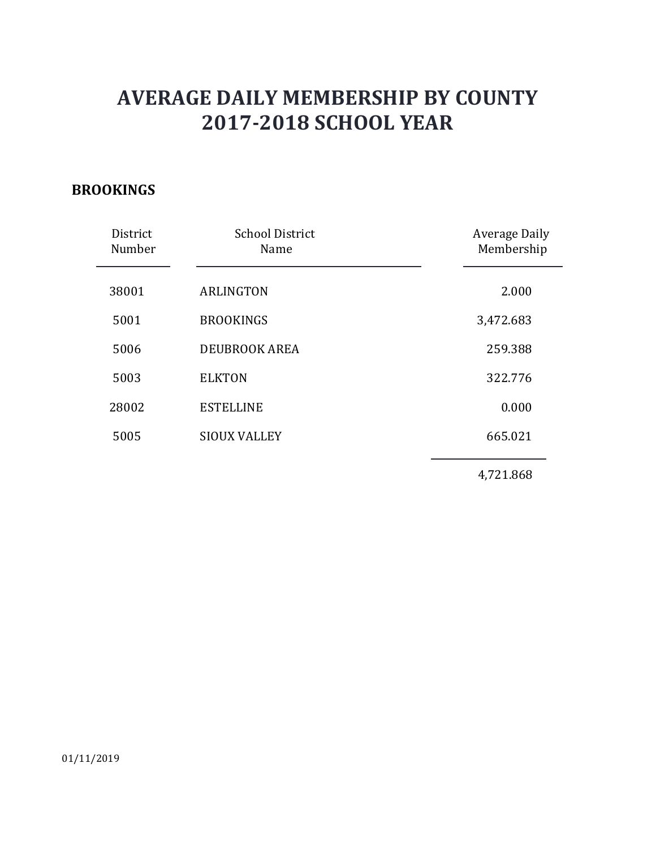#### **BROOKINGS**

| District<br>Number | <b>School District</b><br>Name | <b>Average Daily</b><br>Membership |
|--------------------|--------------------------------|------------------------------------|
| 38001              | <b>ARLINGTON</b>               | 2.000                              |
| 5001               | <b>BROOKINGS</b>               | 3,472.683                          |
| 5006               | <b>DEUBROOK AREA</b>           | 259.388                            |
| 5003               | <b>ELKTON</b>                  | 322.776                            |
| 28002              | <b>ESTELLINE</b>               | 0.000                              |
| 5005               | <b>SIOUX VALLEY</b>            | 665.021                            |
|                    |                                | 4,721.868                          |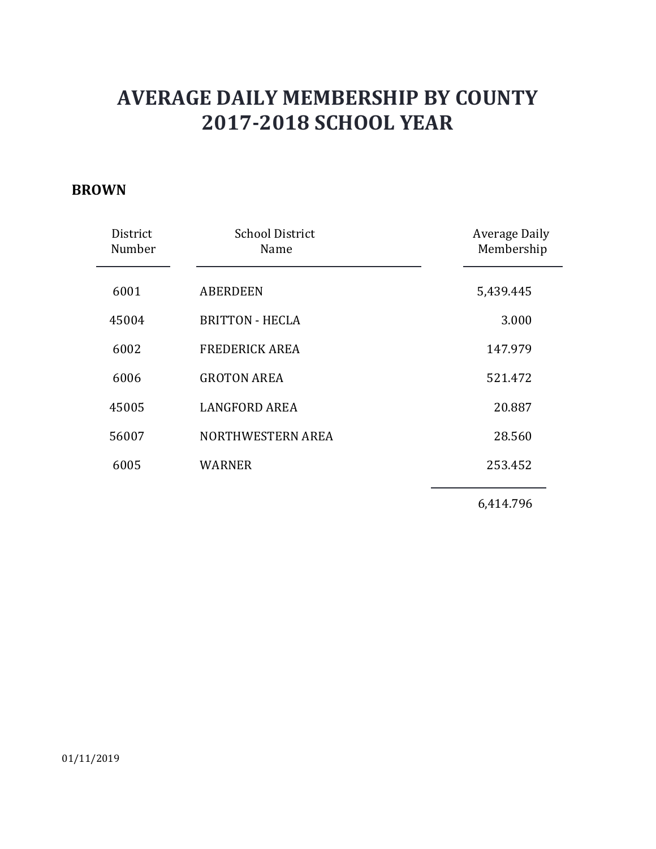#### **BROWN**

| District<br>Number | <b>School District</b><br>Name | <b>Average Daily</b><br>Membership |
|--------------------|--------------------------------|------------------------------------|
| 6001               | <b>ABERDEEN</b>                | 5,439.445                          |
| 45004              | <b>BRITTON - HECLA</b>         | 3.000                              |
| 6002               | <b>FREDERICK AREA</b>          | 147.979                            |
| 6006               | <b>GROTON AREA</b>             | 521.472                            |
| 45005              | <b>LANGFORD AREA</b>           | 20.887                             |
| 56007              | NORTHWESTERN AREA              | 28.560                             |
| 6005               | <b>WARNER</b>                  | 253.452                            |
|                    |                                | 6,414.796                          |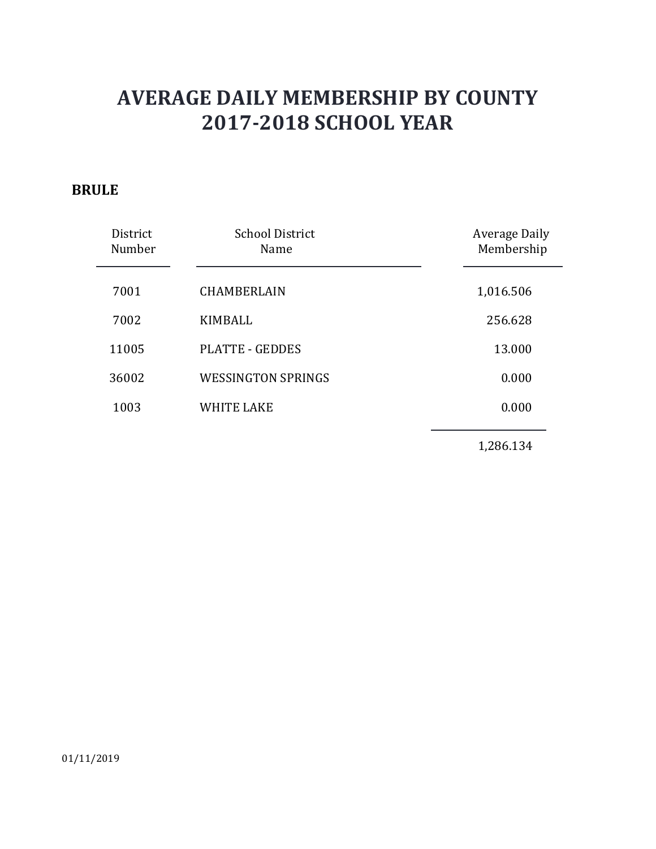#### **BRULE**

| District<br>Number | <b>School District</b><br>Name | Average Daily<br>Membership |
|--------------------|--------------------------------|-----------------------------|
| 7001               | <b>CHAMBERLAIN</b>             | 1,016.506                   |
| 7002               | KIMBALL                        | 256.628                     |
| 11005              | <b>PLATTE - GEDDES</b>         | 13.000                      |
| 36002              | <b>WESSINGTON SPRINGS</b>      | 0.000                       |
| 1003               | <b>WHITE LAKE</b>              | 0.000                       |
|                    |                                |                             |

1,286.134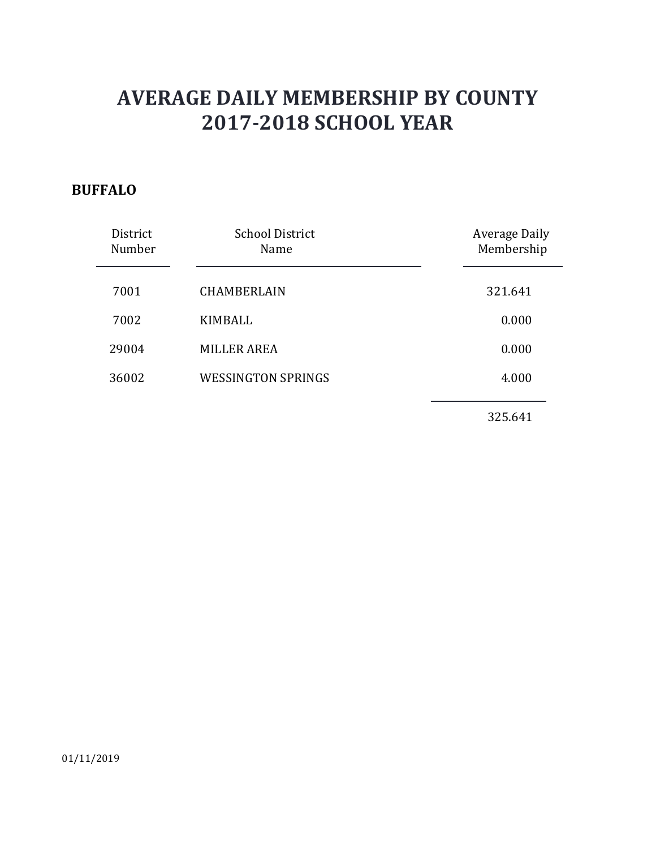### **BUFFALO**

| District<br>Number | <b>School District</b><br>Name | Average Daily<br>Membership |
|--------------------|--------------------------------|-----------------------------|
| 7001               | <b>CHAMBERLAIN</b>             | 321.641                     |
| 7002               | KIMBALL                        | 0.000                       |
| 29004              | <b>MILLER AREA</b>             | 0.000                       |
| 36002              | <b>WESSINGTON SPRINGS</b>      | 4.000                       |
|                    |                                | 325.641                     |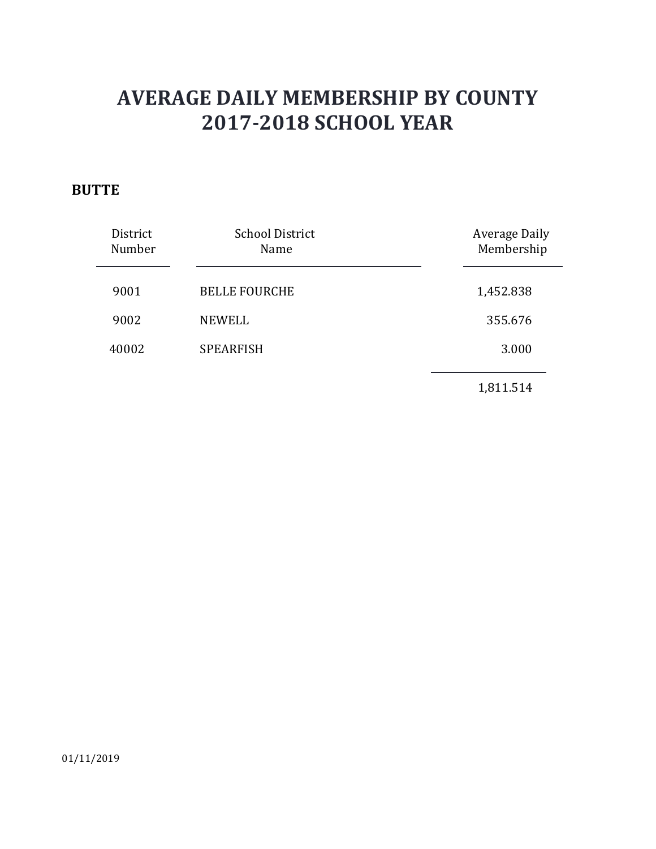### **BUTTE**

| District<br>Number | <b>School District</b><br>Name | <b>Average Daily</b><br>Membership |
|--------------------|--------------------------------|------------------------------------|
| 9001               | <b>BELLE FOURCHE</b>           | 1,452.838                          |
| 9002               | <b>NEWELL</b>                  | 355.676                            |
| 40002              | <b>SPEARFISH</b>               | 3.000                              |
|                    |                                | 1,811.514                          |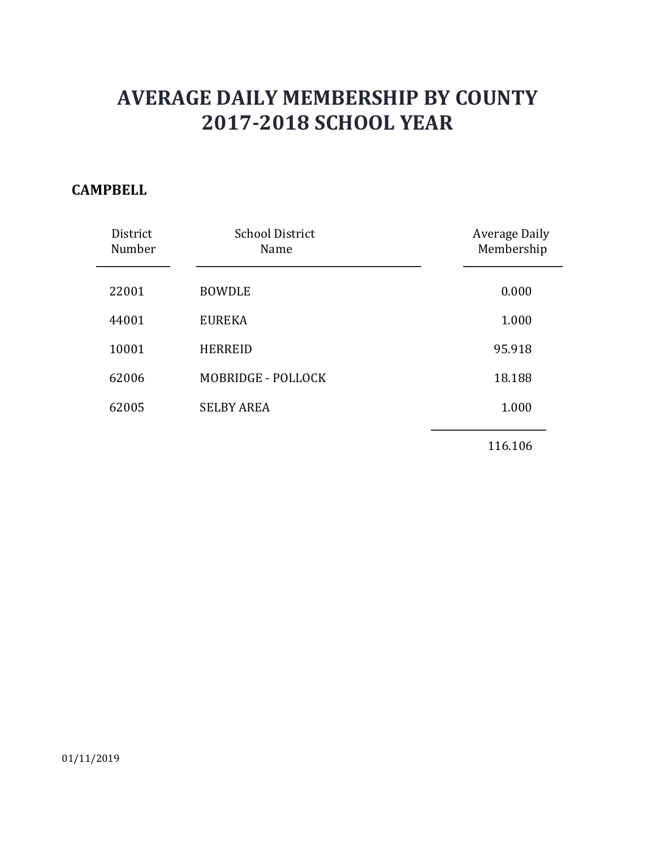#### **CAMPBELL**

| District<br>Number | <b>School District</b><br>Name | <b>Average Daily</b><br>Membership |
|--------------------|--------------------------------|------------------------------------|
| 22001              | <b>BOWDLE</b>                  | 0.000                              |
| 44001              | <b>EUREKA</b>                  | 1.000                              |
| 10001              | <b>HERREID</b>                 | 95.918                             |
| 62006              | MOBRIDGE - POLLOCK             | 18.188                             |
| 62005              | <b>SELBY AREA</b>              | 1.000                              |
|                    |                                |                                    |

116.106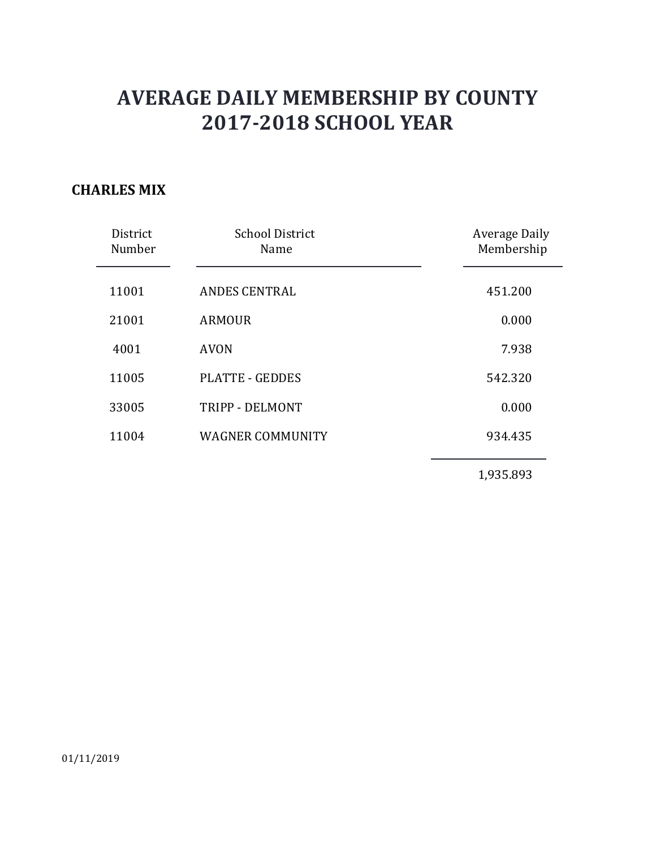#### **CHARLES MIX**

| District<br>Number | <b>School District</b><br>Name | <b>Average Daily</b><br>Membership |
|--------------------|--------------------------------|------------------------------------|
| 11001              | <b>ANDES CENTRAL</b>           | 451.200                            |
| 21001              | <b>ARMOUR</b>                  | 0.000                              |
| 4001               | <b>AVON</b>                    | 7.938                              |
| 11005              | <b>PLATTE - GEDDES</b>         | 542.320                            |
| 33005              | TRIPP - DELMONT                | 0.000                              |
| 11004              | <b>WAGNER COMMUNITY</b>        | 934.435                            |
|                    |                                |                                    |

1,935.893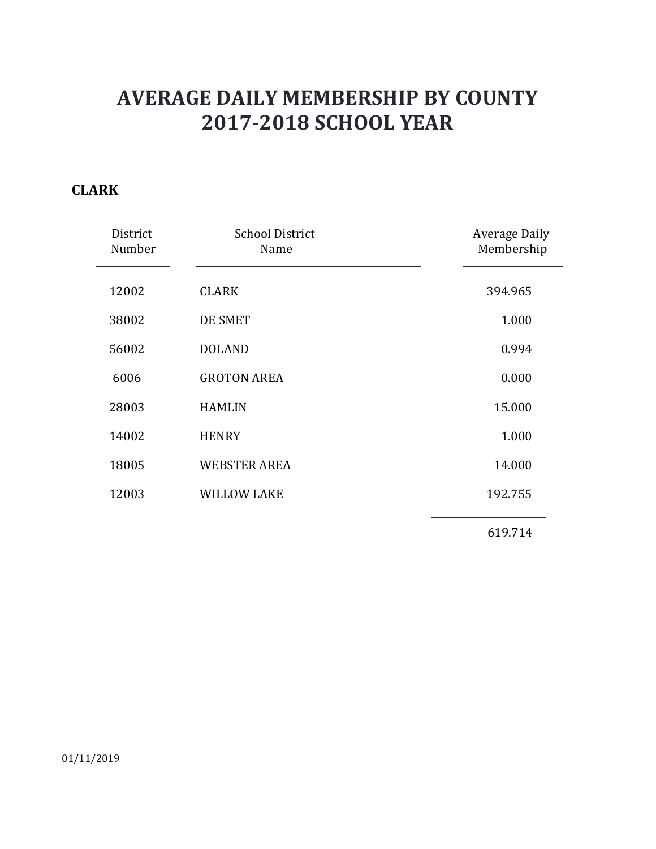### **CLARK**

| District<br>Number | <b>School District</b><br>Name | <b>Average Daily</b><br>Membership |
|--------------------|--------------------------------|------------------------------------|
| 12002              | <b>CLARK</b>                   | 394.965                            |
| 38002              | DE SMET                        | 1.000                              |
| 56002              | <b>DOLAND</b>                  | 0.994                              |
| 6006               | <b>GROTON AREA</b>             | 0.000                              |
| 28003              | <b>HAMLIN</b>                  | 15.000                             |
| 14002              | <b>HENRY</b>                   | 1.000                              |
| 18005              | <b>WEBSTER AREA</b>            | 14.000                             |
| 12003              | <b>WILLOW LAKE</b>             | 192.755                            |
|                    |                                | 619.714                            |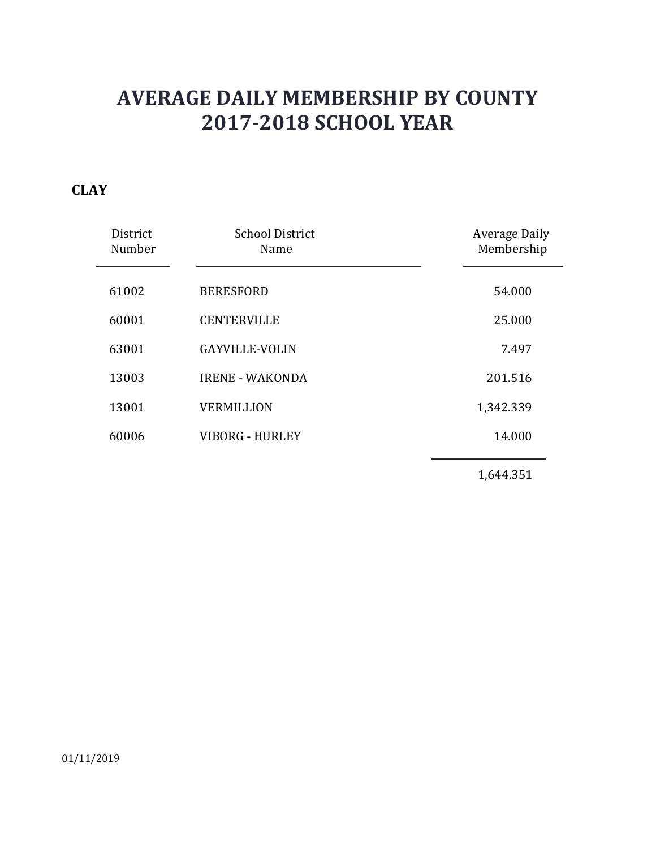### **CLAY**

| District<br>Number | <b>School District</b><br>Name | <b>Average Daily</b><br>Membership |
|--------------------|--------------------------------|------------------------------------|
| 61002              | <b>BERESFORD</b>               | 54.000                             |
| 60001              | <b>CENTERVILLE</b>             | 25.000                             |
| 63001              | <b>GAYVILLE-VOLIN</b>          | 7.497                              |
| 13003              | <b>IRENE - WAKONDA</b>         | 201.516                            |
| 13001              | <b>VERMILLION</b>              | 1,342.339                          |
| 60006              | <b>VIBORG - HURLEY</b>         | 14.000                             |
|                    |                                |                                    |

1,644.351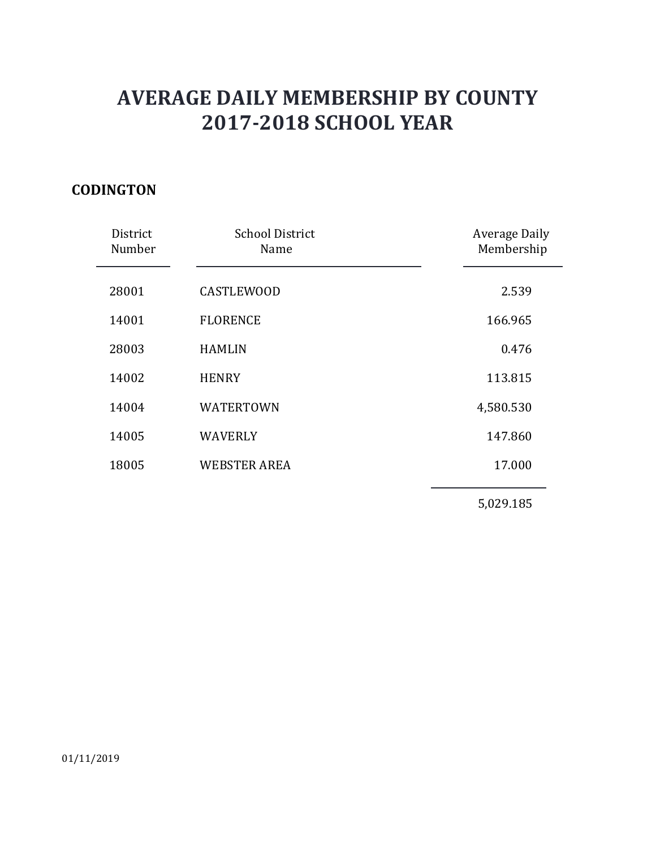### **CODINGTON**

| District<br>Number | <b>School District</b><br>Name | <b>Average Daily</b><br>Membership |
|--------------------|--------------------------------|------------------------------------|
| 28001              | <b>CASTLEWOOD</b>              | 2.539                              |
| 14001              | <b>FLORENCE</b>                | 166.965                            |
| 28003              | <b>HAMLIN</b>                  | 0.476                              |
| 14002              | <b>HENRY</b>                   | 113.815                            |
| 14004              | <b>WATERTOWN</b>               | 4,580.530                          |
| 14005              | <b>WAVERLY</b>                 | 147.860                            |
| 18005              | <b>WEBSTER AREA</b>            | 17.000                             |
|                    |                                | 5,029.185                          |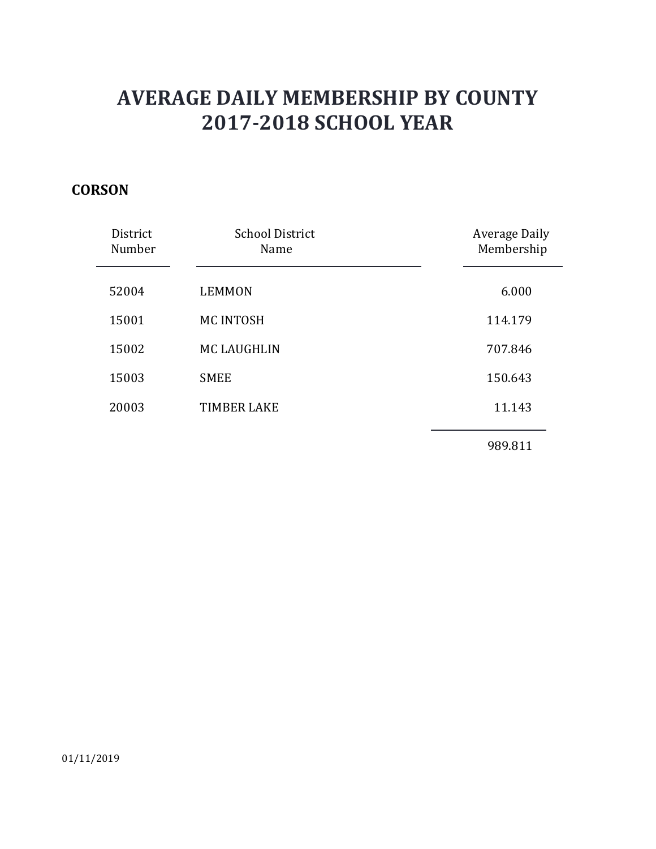### **CORSON**

| District<br>Number | <b>School District</b><br>Name | <b>Average Daily</b><br>Membership |
|--------------------|--------------------------------|------------------------------------|
| 52004              | <b>LEMMON</b>                  | 6.000                              |
| 15001              | <b>MC INTOSH</b>               | 114.179                            |
| 15002              | <b>MC LAUGHLIN</b>             | 707.846                            |
| 15003              | <b>SMEE</b>                    | 150.643                            |
| 20003              | <b>TIMBER LAKE</b>             | 11.143                             |
|                    |                                |                                    |

989.811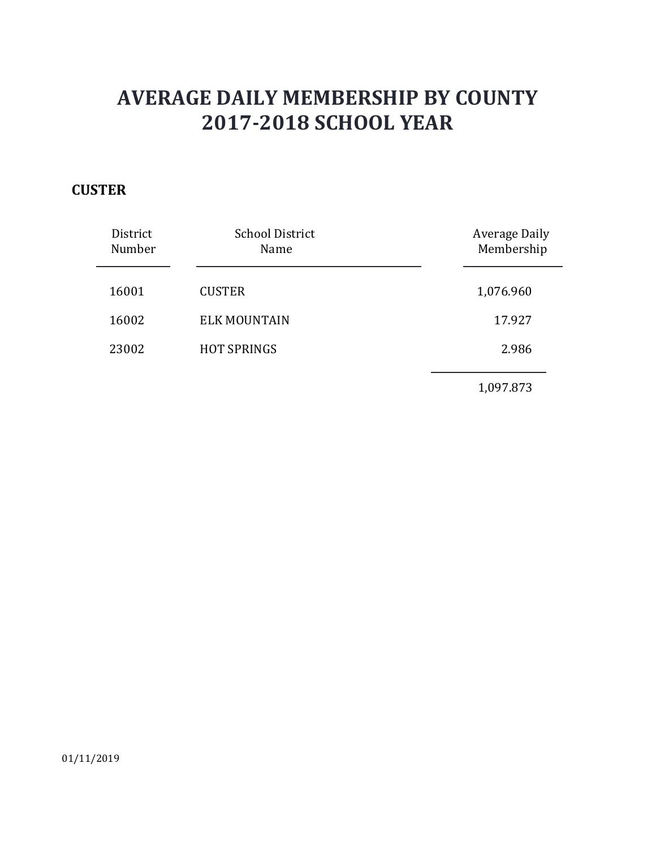### **CUSTER**

| District<br>Number | <b>School District</b><br>Name | <b>Average Daily</b><br>Membership |
|--------------------|--------------------------------|------------------------------------|
| 16001              | <b>CUSTER</b>                  | 1,076.960                          |
| 16002              | <b>ELK MOUNTAIN</b>            | 17.927                             |
| 23002              | <b>HOT SPRINGS</b>             | 2.986                              |
|                    |                                | 1,097.873                          |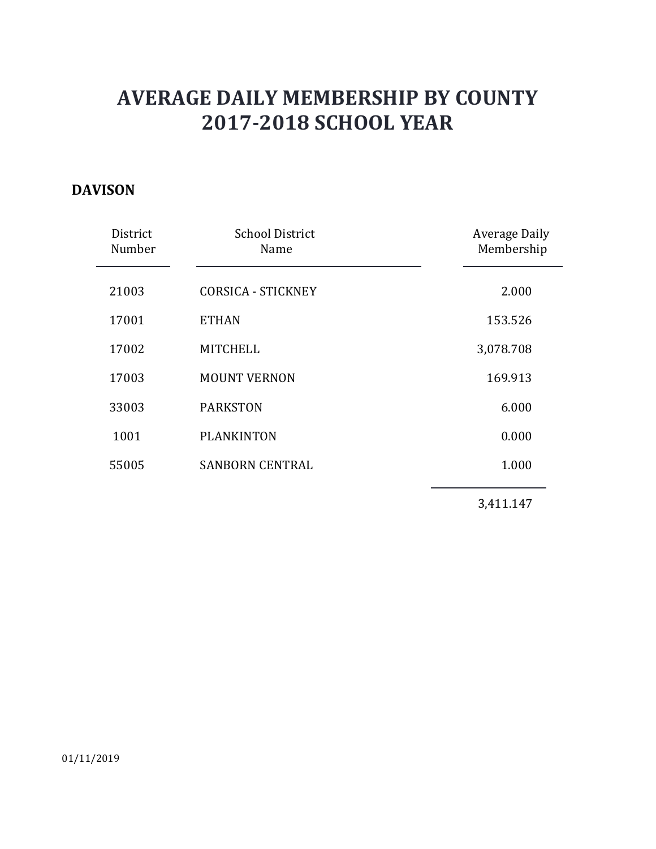### **DAVISON**

| District<br>Number | <b>School District</b><br>Name | <b>Average Daily</b><br>Membership |
|--------------------|--------------------------------|------------------------------------|
| 21003              | <b>CORSICA - STICKNEY</b>      | 2.000                              |
|                    |                                |                                    |
| 17001              | <b>ETHAN</b>                   | 153.526                            |
| 17002              | <b>MITCHELL</b>                | 3,078.708                          |
| 17003              | <b>MOUNT VERNON</b>            | 169.913                            |
| 33003              | <b>PARKSTON</b>                | 6.000                              |
| 1001               | <b>PLANKINTON</b>              | 0.000                              |
| 55005              | <b>SANBORN CENTRAL</b>         | 1.000                              |
|                    |                                | 3,411.147                          |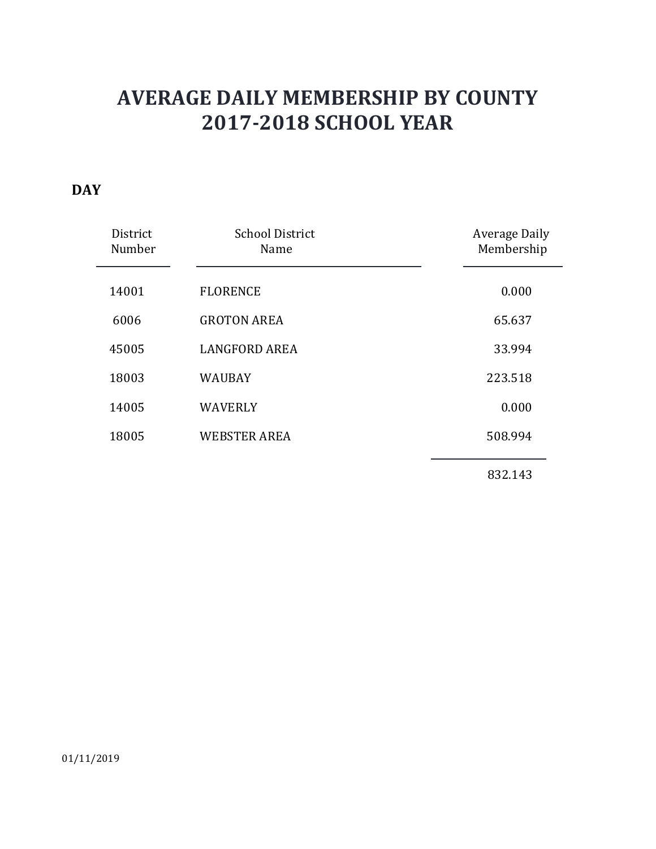### **DAY**

| District<br>Number | <b>School District</b><br>Name | <b>Average Daily</b><br>Membership |
|--------------------|--------------------------------|------------------------------------|
| 14001              | <b>FLORENCE</b>                | 0.000                              |
| 6006               | <b>GROTON AREA</b>             | 65.637                             |
| 45005              | <b>LANGFORD AREA</b>           | 33.994                             |
| 18003              | <b>WAUBAY</b>                  | 223.518                            |
| 14005              | <b>WAVERLY</b>                 | 0.000                              |
| 18005              | <b>WEBSTER AREA</b>            | 508.994                            |
|                    |                                | 832.143                            |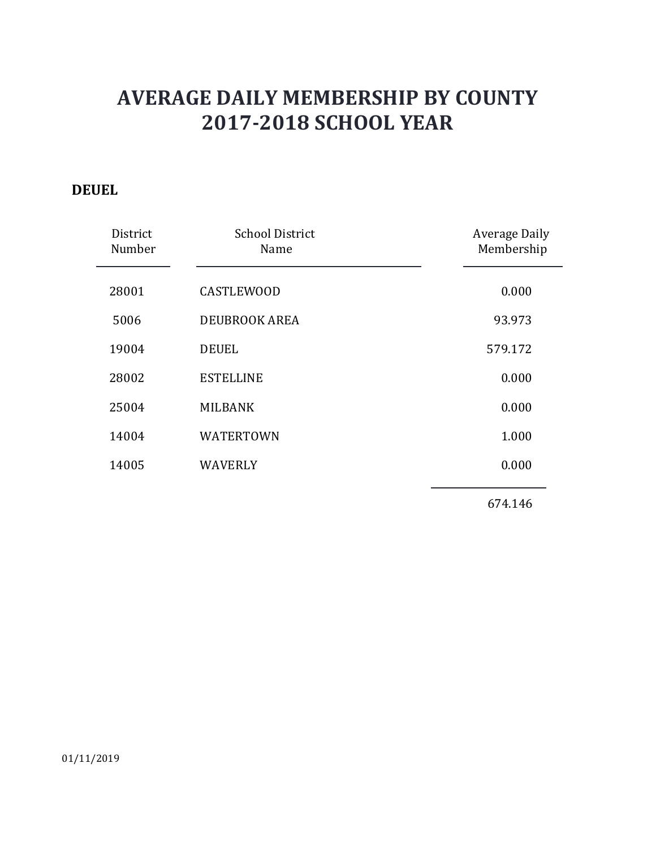#### **DEUEL**

| District<br>Number | <b>School District</b><br>Name | <b>Average Daily</b><br>Membership |
|--------------------|--------------------------------|------------------------------------|
| 28001              | <b>CASTLEWOOD</b>              | 0.000                              |
|                    |                                |                                    |
| 5006               | <b>DEUBROOK AREA</b>           | 93.973                             |
| 19004              | <b>DEUEL</b>                   | 579.172                            |
| 28002              | <b>ESTELLINE</b>               | 0.000                              |
| 25004              | <b>MILBANK</b>                 | 0.000                              |
| 14004              | <b>WATERTOWN</b>               | 1.000                              |
| 14005              | <b>WAVERLY</b>                 | 0.000                              |
|                    |                                | 674.146                            |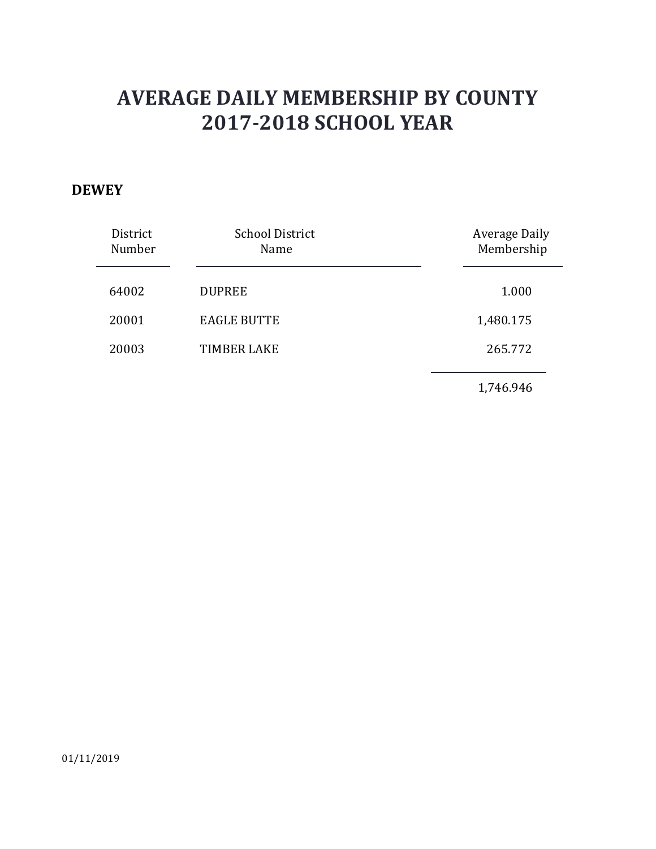#### **DEWEY**

| District<br>Number | <b>School District</b><br>Name | <b>Average Daily</b><br>Membership |
|--------------------|--------------------------------|------------------------------------|
| 64002              | <b>DUPREE</b>                  | 1.000                              |
| 20001              | <b>EAGLE BUTTE</b>             | 1,480.175                          |
| 20003              | <b>TIMBER LAKE</b>             | 265.772                            |
|                    |                                | 1,746.946                          |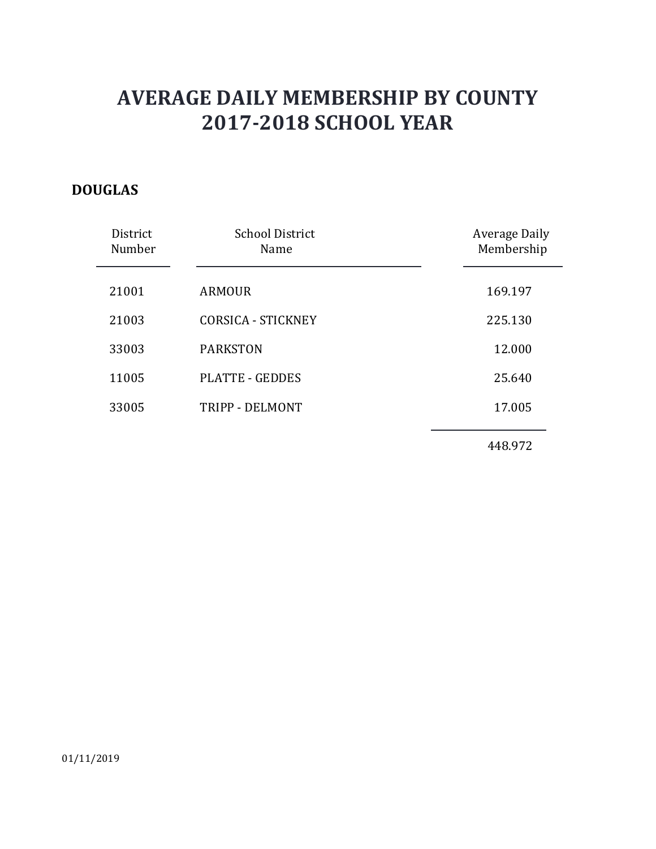### **DOUGLAS**

| District<br>Number | <b>School District</b><br>Name | Average Daily<br>Membership |
|--------------------|--------------------------------|-----------------------------|
| 21001              | <b>ARMOUR</b>                  | 169.197                     |
| 21003              | <b>CORSICA - STICKNEY</b>      | 225.130                     |
| 33003              | <b>PARKSTON</b>                | 12.000                      |
| 11005              | <b>PLATTE - GEDDES</b>         | 25.640                      |
| 33005              | TRIPP - DELMONT                | 17.005                      |
|                    |                                |                             |

448.972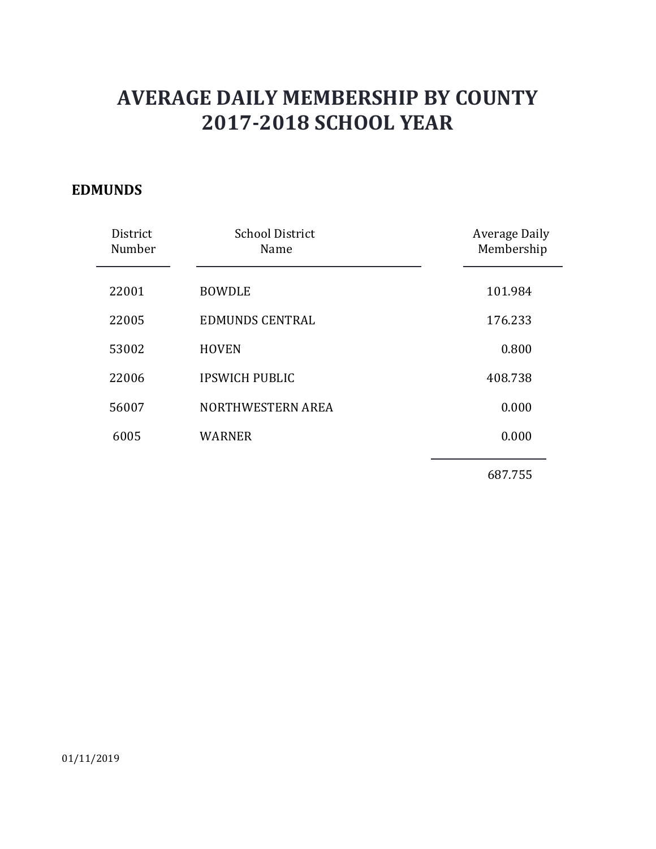#### **EDMUNDS**

| District<br>Number | <b>School District</b><br>Name | <b>Average Daily</b><br>Membership |
|--------------------|--------------------------------|------------------------------------|
| 22001              | <b>BOWDLE</b>                  | 101.984                            |
| 22005              | <b>EDMUNDS CENTRAL</b>         | 176.233                            |
| 53002              | <b>HOVEN</b>                   | 0.800                              |
| 22006              | <b>IPSWICH PUBLIC</b>          | 408.738                            |
| 56007              | NORTHWESTERN AREA              | 0.000                              |
| 6005               | <b>WARNER</b>                  | 0.000                              |
|                    |                                |                                    |

687.755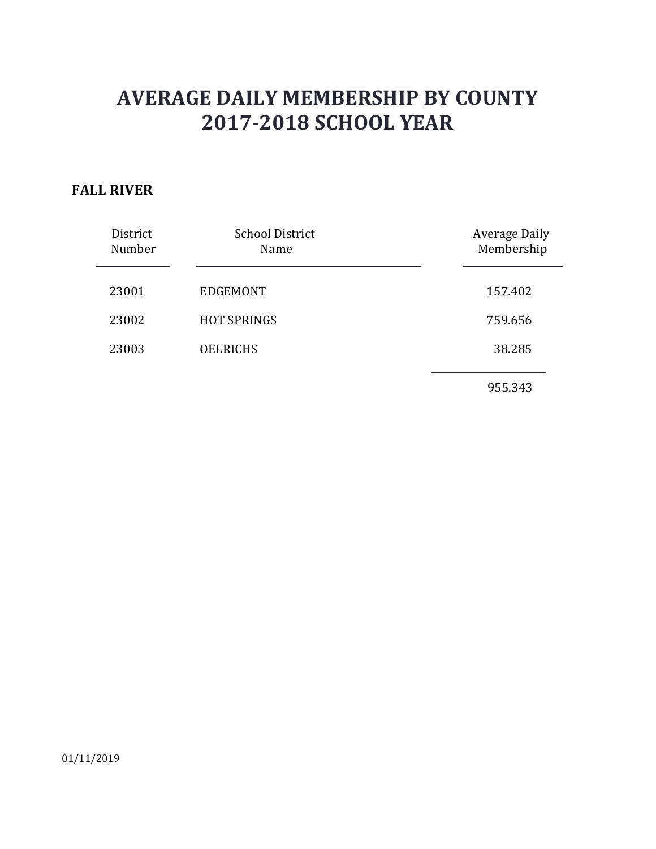#### **FALL RIVER**

| District<br>Number | <b>School District</b><br>Name | <b>Average Daily</b><br>Membership |
|--------------------|--------------------------------|------------------------------------|
| 23001              | <b>EDGEMONT</b>                | 157.402                            |
| 23002              | <b>HOT SPRINGS</b>             | 759.656                            |
| 23003              | <b>OELRICHS</b>                | 38.285                             |
|                    |                                | 955.343                            |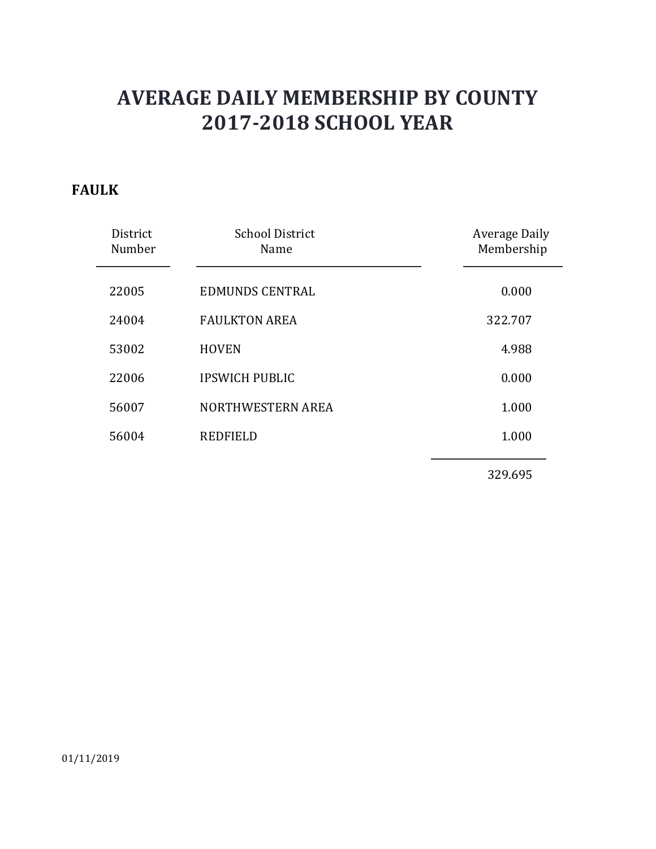#### **FAULK**

| District<br>Number | <b>School District</b><br>Name | Average Daily<br>Membership |
|--------------------|--------------------------------|-----------------------------|
| 22005              | EDMUNDS CENTRAL                | 0.000                       |
| 24004              | <b>FAULKTON AREA</b>           | 322.707                     |
| 53002              | <b>HOVEN</b>                   | 4.988                       |
| 22006              | <b>IPSWICH PUBLIC</b>          | 0.000                       |
| 56007              | NORTHWESTERN AREA              | 1.000                       |
| 56004              | <b>REDFIELD</b>                | 1.000                       |
|                    |                                |                             |

329.695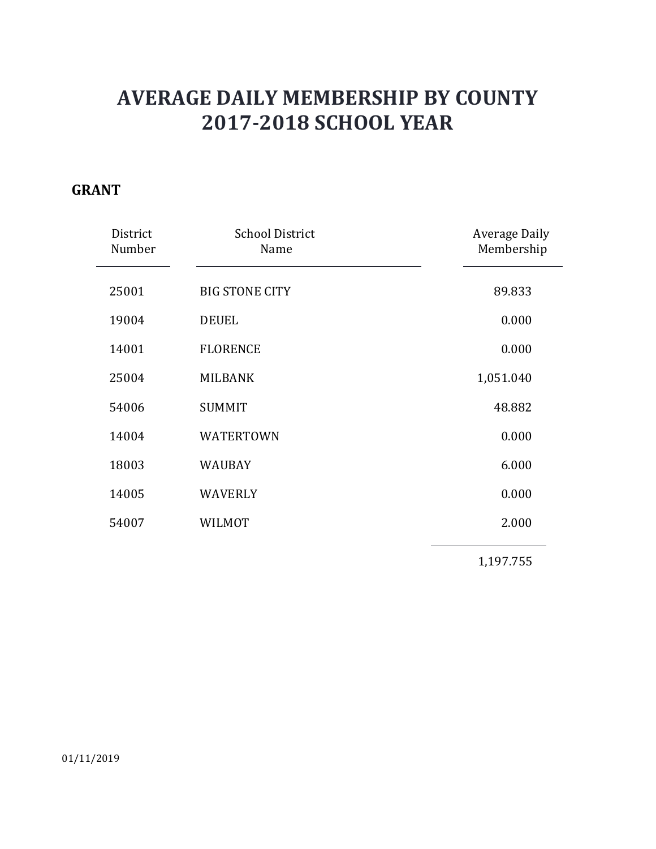#### **GRANT**

| District<br>Number | <b>School District</b><br>Name | <b>Average Daily</b><br>Membership |
|--------------------|--------------------------------|------------------------------------|
| 25001              | <b>BIG STONE CITY</b>          | 89.833                             |
| 19004              | <b>DEUEL</b>                   | 0.000                              |
| 14001              | <b>FLORENCE</b>                | 0.000                              |
| 25004              | <b>MILBANK</b>                 | 1,051.040                          |
| 54006              | <b>SUMMIT</b>                  | 48.882                             |
| 14004              | <b>WATERTOWN</b>               | 0.000                              |
| 18003              | <b>WAUBAY</b>                  | 6.000                              |
| 14005              | <b>WAVERLY</b>                 | 0.000                              |
| 54007              | <b>WILMOT</b>                  | 2.000                              |
|                    |                                | 1,197.755                          |

01/11/2019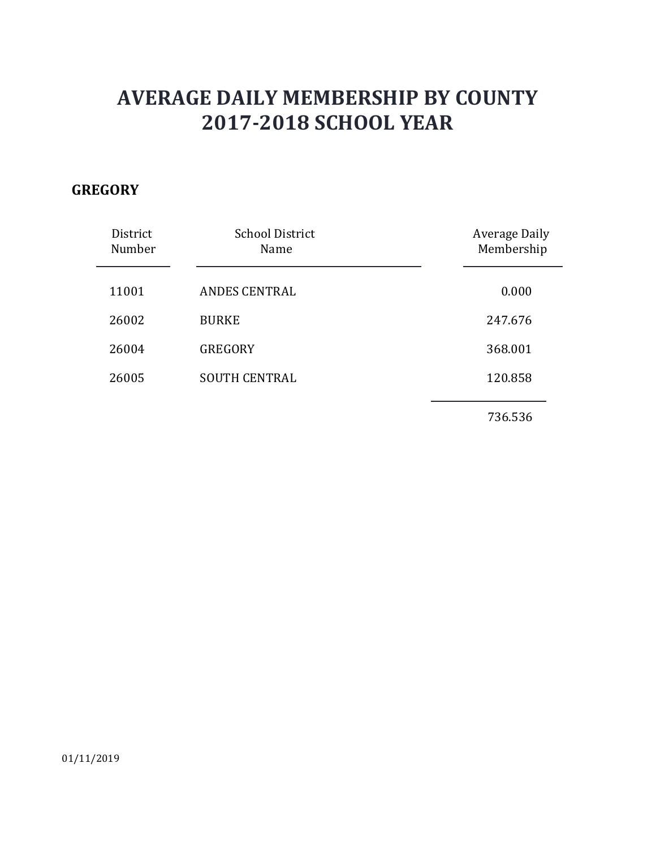### **GREGORY**

| District<br>Number | <b>School District</b><br>Name | <b>Average Daily</b><br>Membership |
|--------------------|--------------------------------|------------------------------------|
| 11001              | <b>ANDES CENTRAL</b>           | 0.000                              |
| 26002              | <b>BURKE</b>                   | 247.676                            |
| 26004              | <b>GREGORY</b>                 | 368.001                            |
| 26005              | <b>SOUTH CENTRAL</b>           | 120.858                            |
|                    |                                | 736.536                            |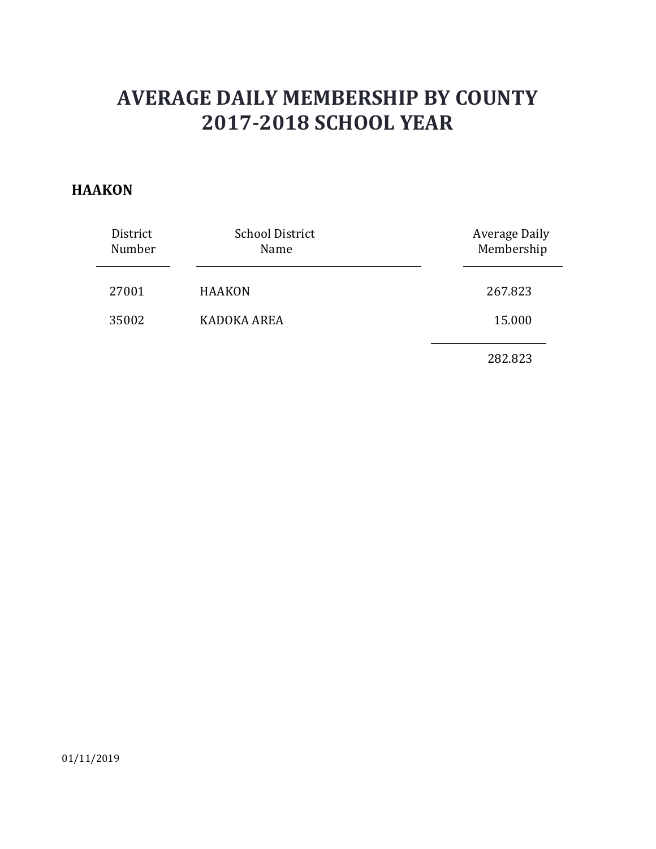#### **HAAKON**

| District<br>Number | <b>School District</b><br>Name | <b>Average Daily</b><br>Membership |
|--------------------|--------------------------------|------------------------------------|
| 27001              | <b>HAAKON</b>                  | 267.823                            |
| 35002              | KADOKA AREA                    | 15.000                             |
|                    |                                | 282.823                            |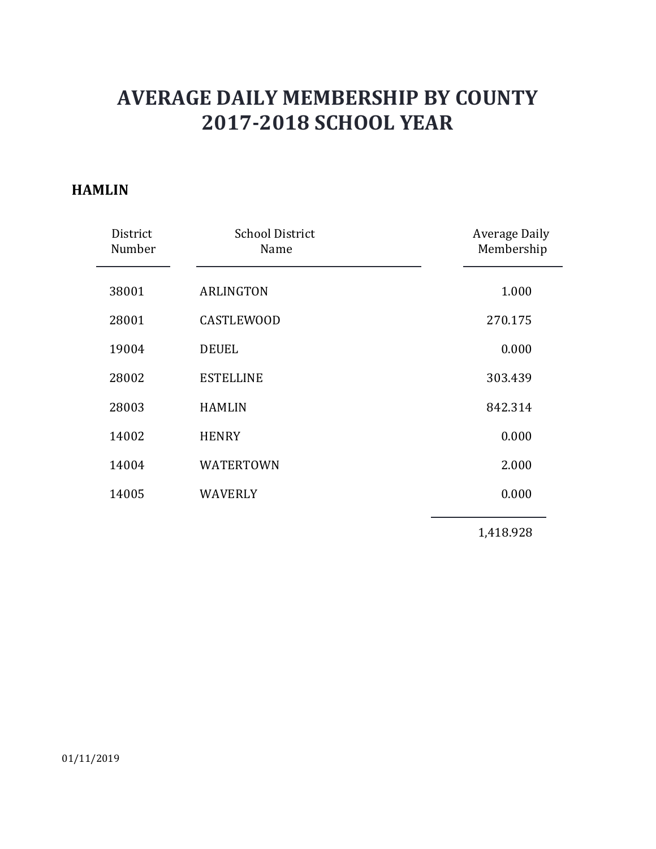#### **HAMLIN**

| District<br>Number | <b>School District</b><br>Name | <b>Average Daily</b><br>Membership |
|--------------------|--------------------------------|------------------------------------|
| 38001              | <b>ARLINGTON</b>               | 1.000                              |
| 28001              | <b>CASTLEWOOD</b>              | 270.175                            |
| 19004              | <b>DEUEL</b>                   | 0.000                              |
| 28002              | <b>ESTELLINE</b>               | 303.439                            |
| 28003              | <b>HAMLIN</b>                  | 842.314                            |
| 14002              | <b>HENRY</b>                   | 0.000                              |
| 14004              | <b>WATERTOWN</b>               | 2.000                              |
| 14005              | <b>WAVERLY</b>                 | 0.000                              |
|                    |                                | 1,418.928                          |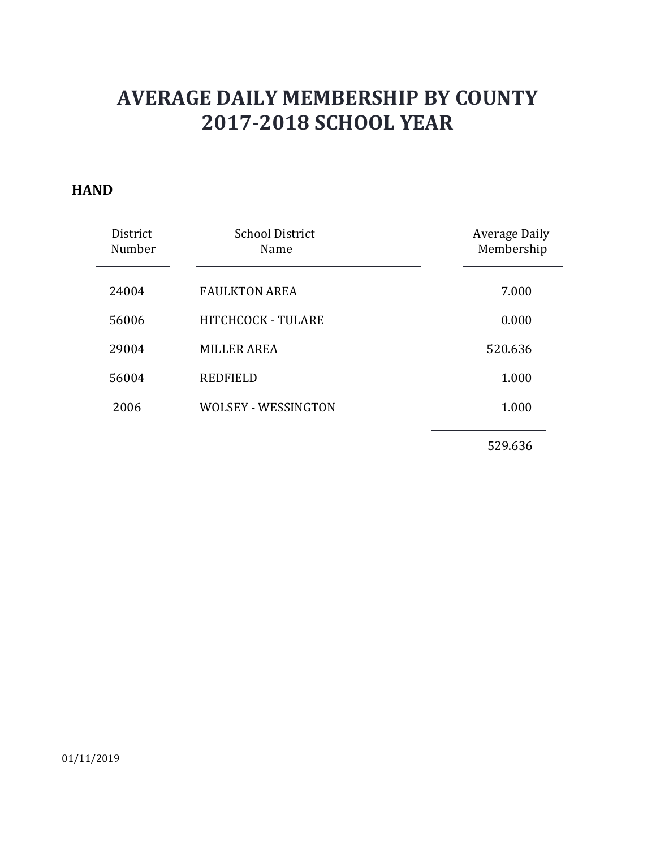#### **HAND**

| District<br>Number | <b>School District</b><br>Name | Average Daily<br>Membership |
|--------------------|--------------------------------|-----------------------------|
| 24004              | <b>FAULKTON AREA</b>           | 7.000                       |
| 56006              | <b>HITCHCOCK - TULARE</b>      | 0.000                       |
| 29004              | <b>MILLER AREA</b>             | 520.636                     |
| 56004              | <b>REDFIELD</b>                | 1.000                       |
| 2006               | <b>WOLSEY - WESSINGTON</b>     | 1.000                       |
|                    |                                |                             |

529.636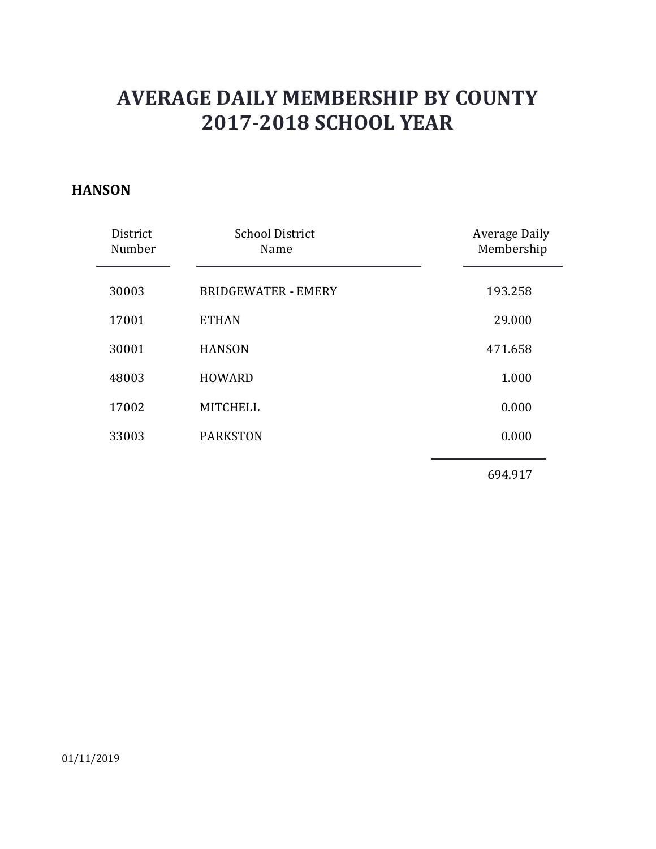#### **HANSON**

| District<br>Number | <b>School District</b><br>Name | <b>Average Daily</b><br>Membership |
|--------------------|--------------------------------|------------------------------------|
| 30003              | <b>BRIDGEWATER - EMERY</b>     | 193.258                            |
| 17001              | <b>ETHAN</b>                   | 29.000                             |
| 30001              | <b>HANSON</b>                  | 471.658                            |
| 48003              | <b>HOWARD</b>                  | 1.000                              |
| 17002              | <b>MITCHELL</b>                | 0.000                              |
| 33003              | <b>PARKSTON</b>                | 0.000                              |
|                    |                                |                                    |

694.917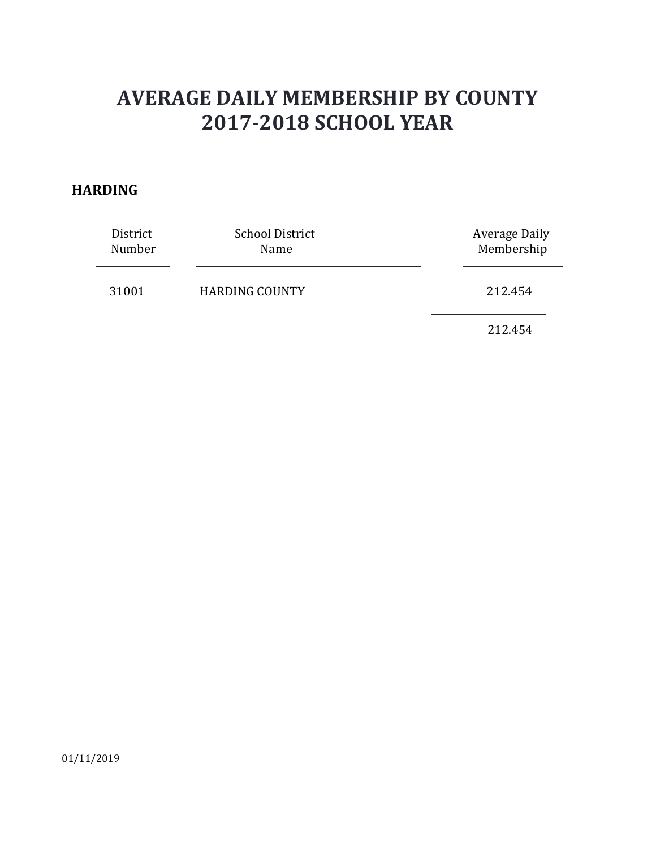#### **HARDING**

| District<br>Number | <b>School District</b><br>Name | Average Daily<br>Membership |
|--------------------|--------------------------------|-----------------------------|
| 31001              | <b>HARDING COUNTY</b>          | 212.454                     |
|                    |                                | 212.454                     |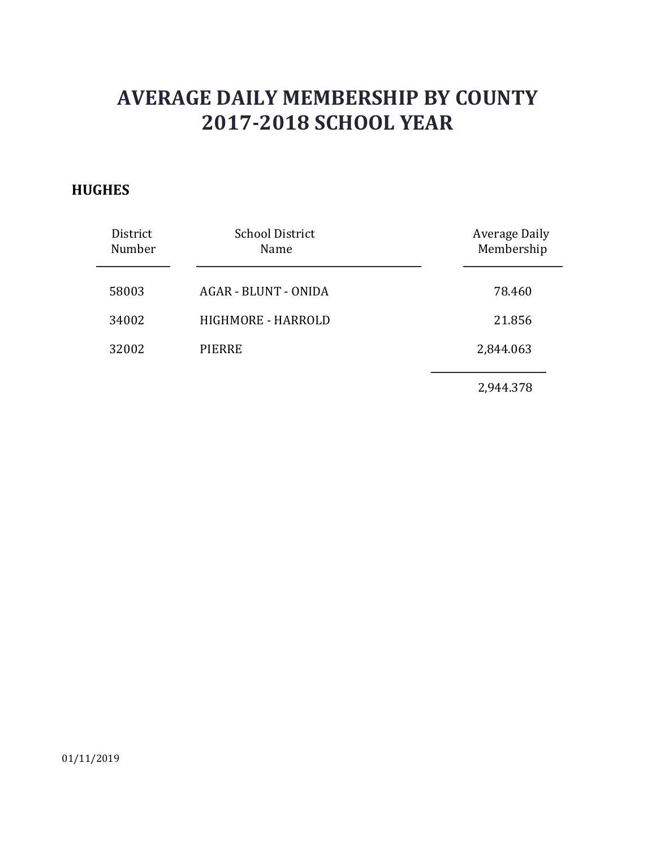### **HUGHES**

| District<br>Number | <b>School District</b><br>Name | Average Daily<br>Membership |
|--------------------|--------------------------------|-----------------------------|
| 58003              | <b>AGAR - BLUNT - ONIDA</b>    | 78.460                      |
| 34002              | <b>HIGHMORE - HARROLD</b>      | 21.856                      |
| 32002              | <b>PIERRE</b>                  | 2,844.063                   |
|                    |                                | 2,944.378                   |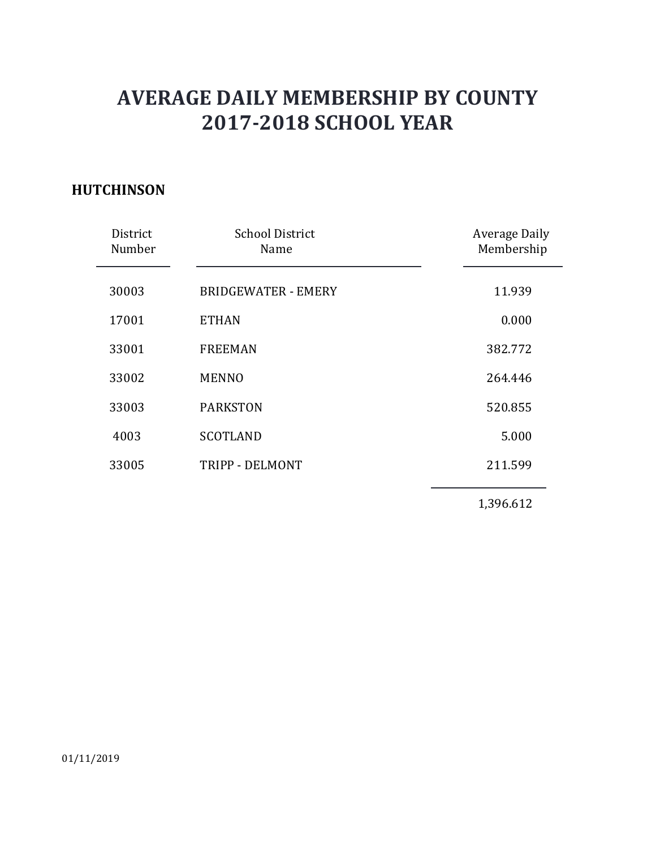### **HUTCHINSON**

| District<br>Number | <b>School District</b><br>Name | <b>Average Daily</b><br>Membership |
|--------------------|--------------------------------|------------------------------------|
| 30003              | <b>BRIDGEWATER - EMERY</b>     | 11.939                             |
| 17001              | <b>ETHAN</b>                   | 0.000                              |
| 33001              | <b>FREEMAN</b>                 | 382.772                            |
| 33002              | <b>MENNO</b>                   | 264.446                            |
| 33003              | <b>PARKSTON</b>                | 520.855                            |
| 4003               | <b>SCOTLAND</b>                | 5.000                              |
| 33005              | TRIPP - DELMONT                | 211.599                            |
|                    |                                | 1,396.612                          |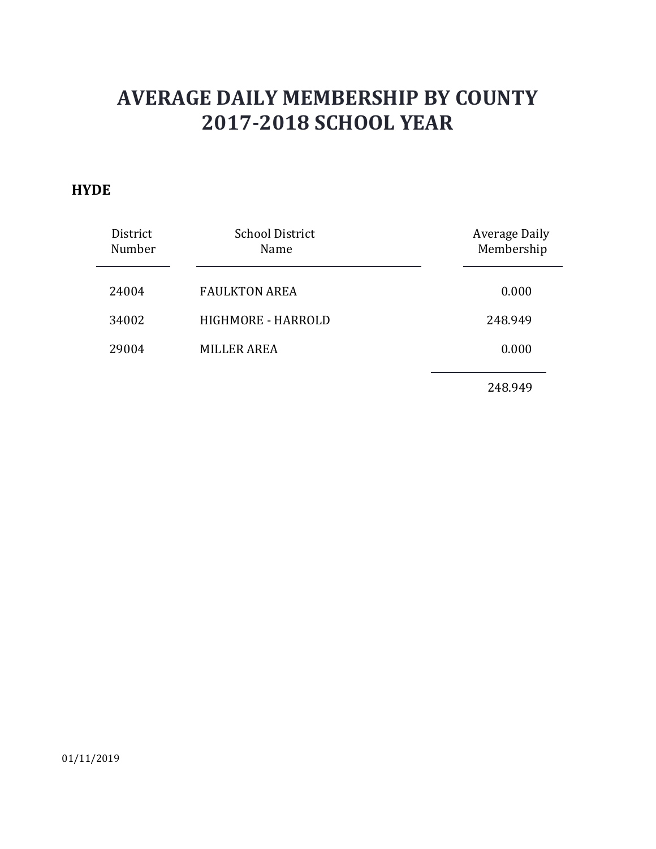#### **HYDE**

| District<br>Number | <b>School District</b><br>Name | <b>Average Daily</b><br>Membership |
|--------------------|--------------------------------|------------------------------------|
| 24004              | <b>FAULKTON AREA</b>           | 0.000                              |
| 34002              | HIGHMORE - HARROLD             | 248.949                            |
| 29004              | MILLER AREA                    | 0.000                              |
|                    |                                | 248.949                            |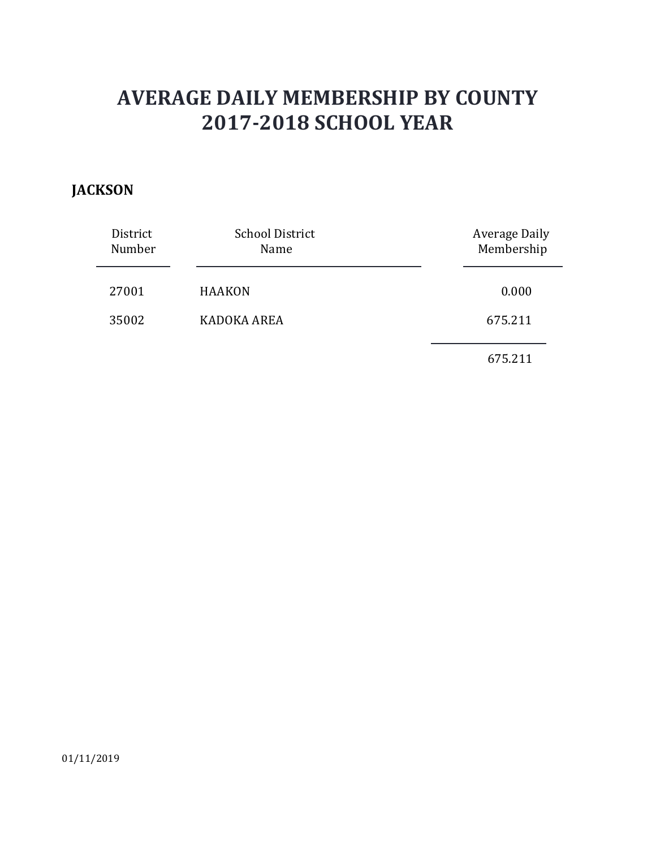### **JACKSON**

| District<br>Number | <b>School District</b><br>Name | <b>Average Daily</b><br>Membership |
|--------------------|--------------------------------|------------------------------------|
| 27001              | <b>HAAKON</b>                  | 0.000                              |
| 35002              | KADOKA AREA                    | 675.211                            |
|                    |                                | 675.211                            |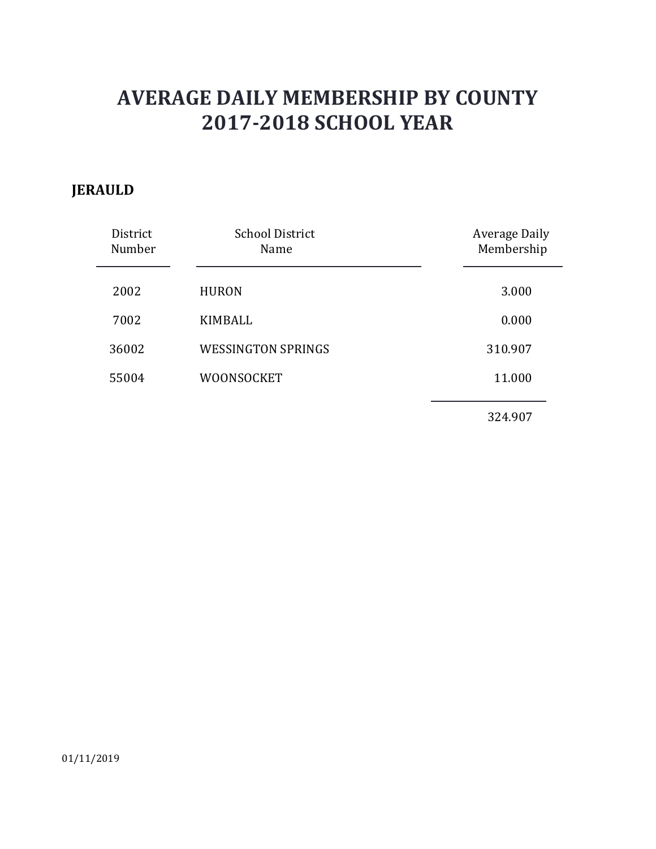### **JERAULD**

| District<br>Number | <b>School District</b><br>Name | Average Daily<br>Membership |
|--------------------|--------------------------------|-----------------------------|
| 2002               | <b>HURON</b>                   | 3.000                       |
| 7002               | <b>KIMBALL</b>                 | 0.000                       |
| 36002              | <b>WESSINGTON SPRINGS</b>      | 310.907                     |
| 55004              | <b>WOONSOCKET</b>              | 11.000                      |
|                    |                                | 324.907                     |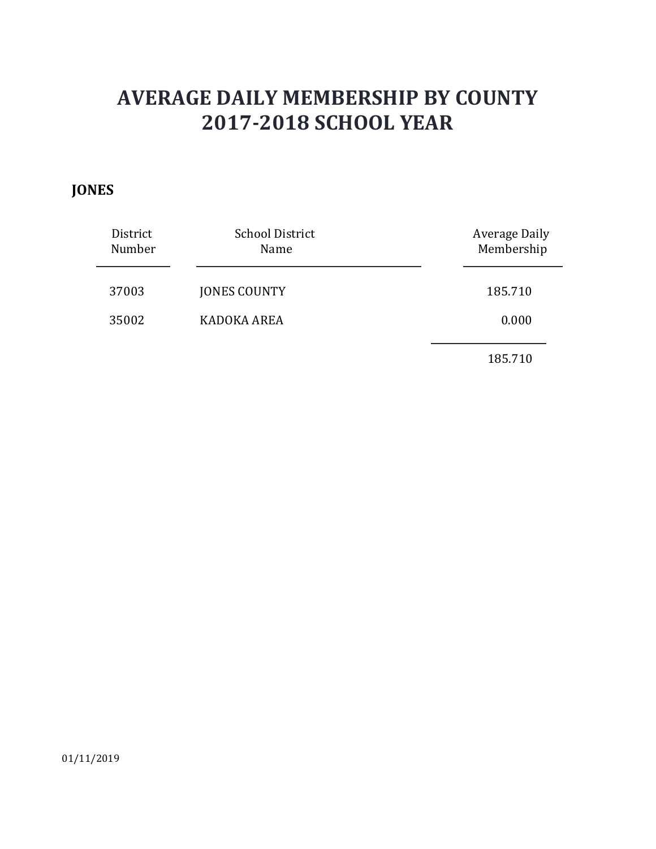### **JONES**

| District<br>Number | <b>School District</b><br>Name | Average Daily<br>Membership |
|--------------------|--------------------------------|-----------------------------|
| 37003              | <b>JONES COUNTY</b>            | 185.710                     |
| 35002              | KADOKA AREA                    | 0.000                       |
|                    |                                | 185.710                     |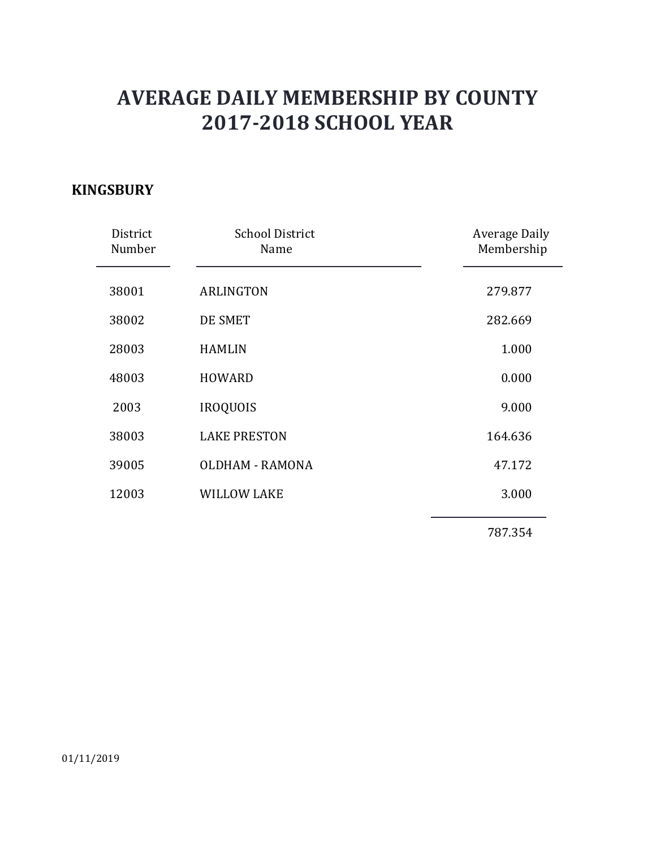### **KINGSBURY**

| District<br>Number | <b>School District</b><br>Name | <b>Average Daily</b><br>Membership |
|--------------------|--------------------------------|------------------------------------|
| 38001              | <b>ARLINGTON</b>               | 279.877                            |
| 38002              | DE SMET                        | 282.669                            |
| 28003              | <b>HAMLIN</b>                  | 1.000                              |
| 48003              | <b>HOWARD</b>                  | 0.000                              |
| 2003               | <b>IROQUOIS</b>                | 9.000                              |
| 38003              | <b>LAKE PRESTON</b>            | 164.636                            |
| 39005              | <b>OLDHAM - RAMONA</b>         | 47.172                             |
| 12003              | <b>WILLOW LAKE</b>             | 3.000                              |
|                    |                                | 787.354                            |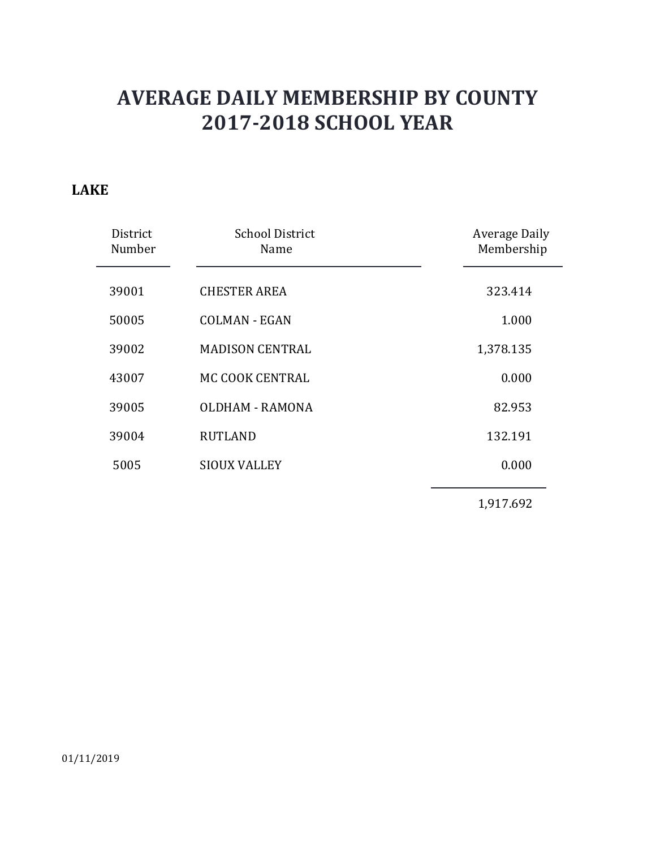#### **LAKE**

| District<br>Number | <b>School District</b><br>Name | <b>Average Daily</b><br>Membership |
|--------------------|--------------------------------|------------------------------------|
| 39001              | <b>CHESTER AREA</b>            | 323.414                            |
| 50005              | <b>COLMAN - EGAN</b>           | 1.000                              |
| 39002              | <b>MADISON CENTRAL</b>         | 1,378.135                          |
| 43007              | MC COOK CENTRAL                | 0.000                              |
| 39005              | <b>OLDHAM - RAMONA</b>         | 82.953                             |
| 39004              | <b>RUTLAND</b>                 | 132.191                            |
| 5005               | <b>SIOUX VALLEY</b>            | 0.000                              |
|                    |                                | 1,917.692                          |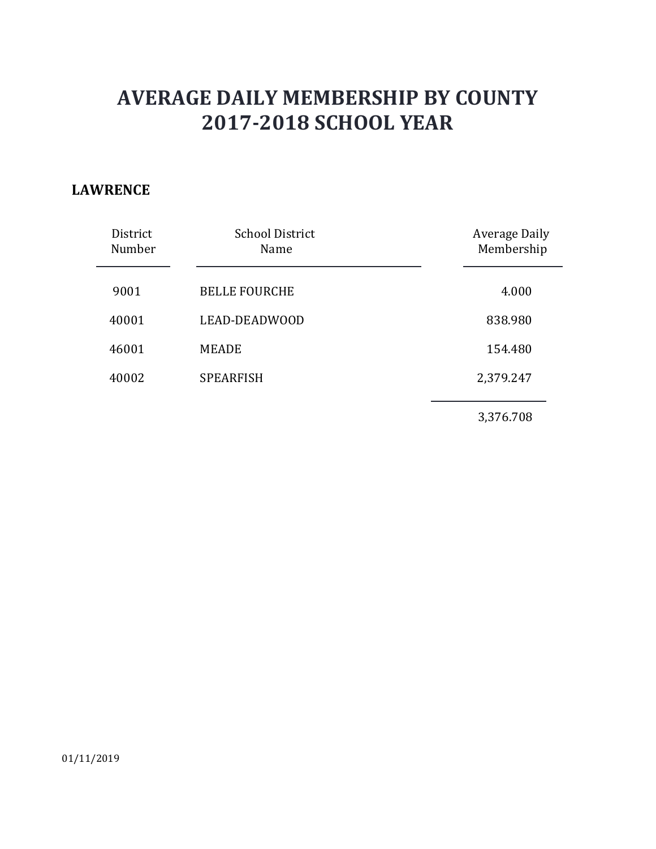#### **LAWRENCE**

| District<br>Number | <b>School District</b><br>Name | <b>Average Daily</b><br>Membership |
|--------------------|--------------------------------|------------------------------------|
| 9001               | <b>BELLE FOURCHE</b>           | 4.000                              |
| 40001              | LEAD-DEADWOOD                  | 838.980                            |
| 46001              | <b>MEADE</b>                   | 154.480                            |
| 40002              | <b>SPEARFISH</b>               | 2,379.247                          |
|                    |                                | 3,376.708                          |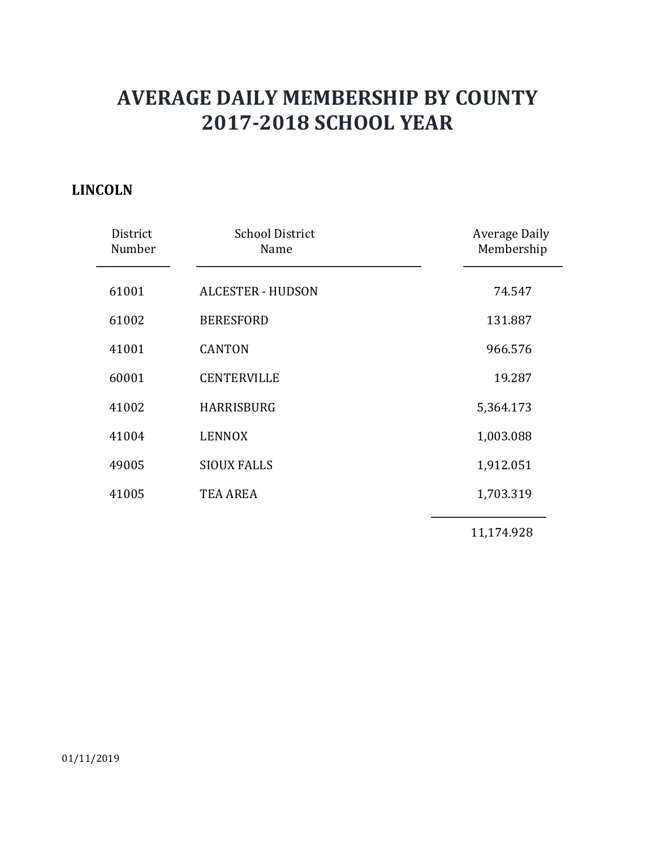### **LINCOLN**

| District<br>Number | <b>School District</b><br>Name | <b>Average Daily</b><br>Membership |
|--------------------|--------------------------------|------------------------------------|
| 61001              | <b>ALCESTER - HUDSON</b>       | 74.547                             |
| 61002              | <b>BERESFORD</b>               | 131.887                            |
| 41001              | <b>CANTON</b>                  | 966.576                            |
| 60001              | <b>CENTERVILLE</b>             | 19.287                             |
| 41002              | <b>HARRISBURG</b>              | 5,364.173                          |
| 41004              | <b>LENNOX</b>                  | 1,003.088                          |
| 49005              | <b>SIOUX FALLS</b>             | 1,912.051                          |
| 41005              | <b>TEA AREA</b>                | 1,703.319                          |
|                    |                                | 11,174.928                         |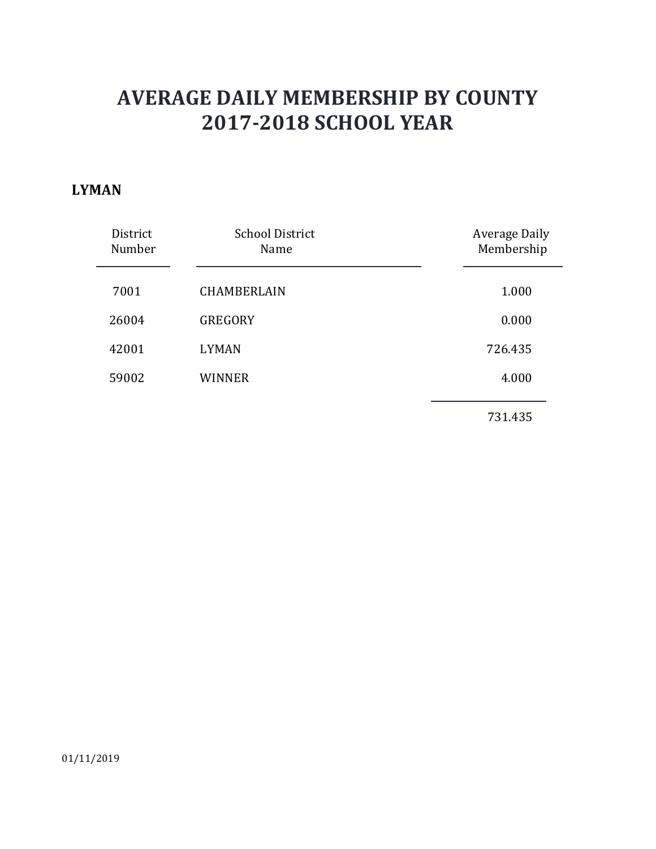#### **LYMAN**

| <b>School District</b><br>Name | Average Daily<br>Membership |
|--------------------------------|-----------------------------|
| <b>CHAMBERLAIN</b>             | 1.000                       |
| <b>GREGORY</b>                 | 0.000                       |
| <b>LYMAN</b>                   | 726.435                     |
| <b>WINNER</b>                  | 4.000                       |
|                                | 731.435                     |
|                                |                             |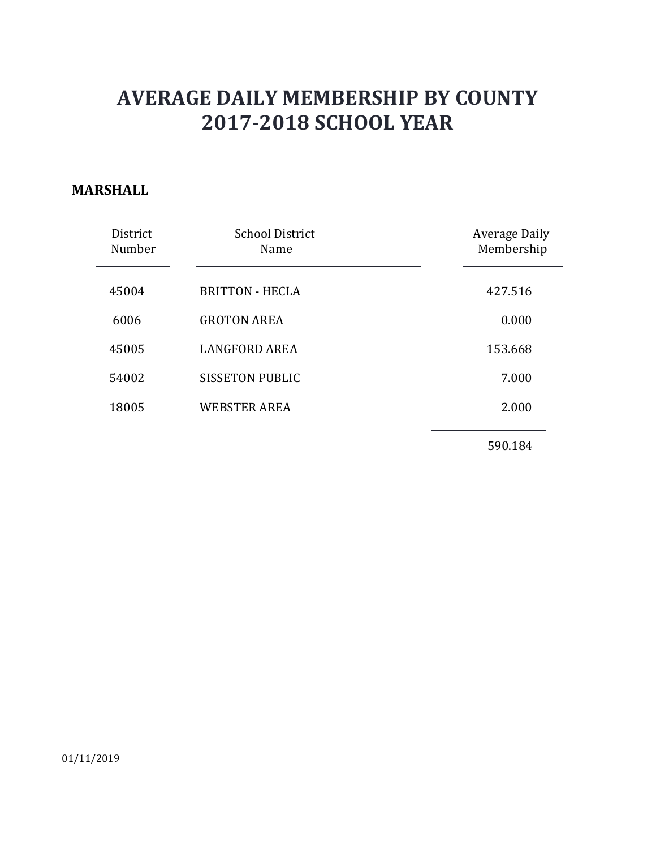#### **MARSHALL**

| District<br>Number | <b>School District</b><br>Name | Average Daily<br>Membership |
|--------------------|--------------------------------|-----------------------------|
| 45004              | <b>BRITTON - HECLA</b>         | 427.516                     |
| 6006               | <b>GROTON AREA</b>             | 0.000                       |
| 45005              | <b>LANGFORD AREA</b>           | 153.668                     |
| 54002              | <b>SISSETON PUBLIC</b>         | 7.000                       |
| 18005              | <b>WEBSTER AREA</b>            | 2.000                       |
|                    |                                |                             |

590.184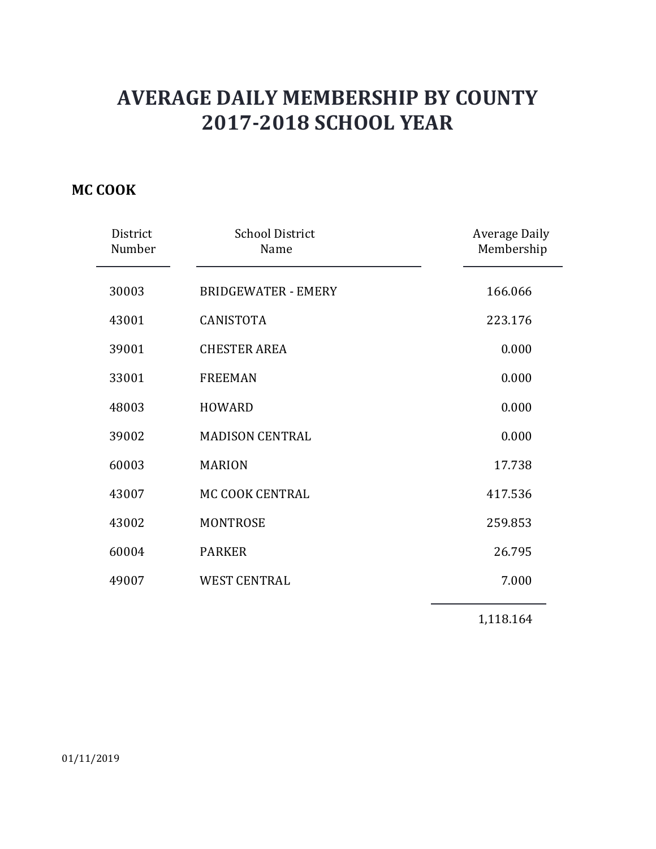### **MC COOK**

| District<br>Number | <b>School District</b><br>Name | <b>Average Daily</b><br>Membership |
|--------------------|--------------------------------|------------------------------------|
| 30003              | <b>BRIDGEWATER - EMERY</b>     | 166.066                            |
| 43001              | <b>CANISTOTA</b>               | 223.176                            |
| 39001              | <b>CHESTER AREA</b>            | 0.000                              |
| 33001              | <b>FREEMAN</b>                 | 0.000                              |
| 48003              | <b>HOWARD</b>                  | 0.000                              |
| 39002              | <b>MADISON CENTRAL</b>         | 0.000                              |
| 60003              | <b>MARION</b>                  | 17.738                             |
| 43007              | MC COOK CENTRAL                | 417.536                            |
| 43002              | <b>MONTROSE</b>                | 259.853                            |
| 60004              | <b>PARKER</b>                  | 26.795                             |
| 49007              | <b>WEST CENTRAL</b>            | 7.000                              |

1,118.164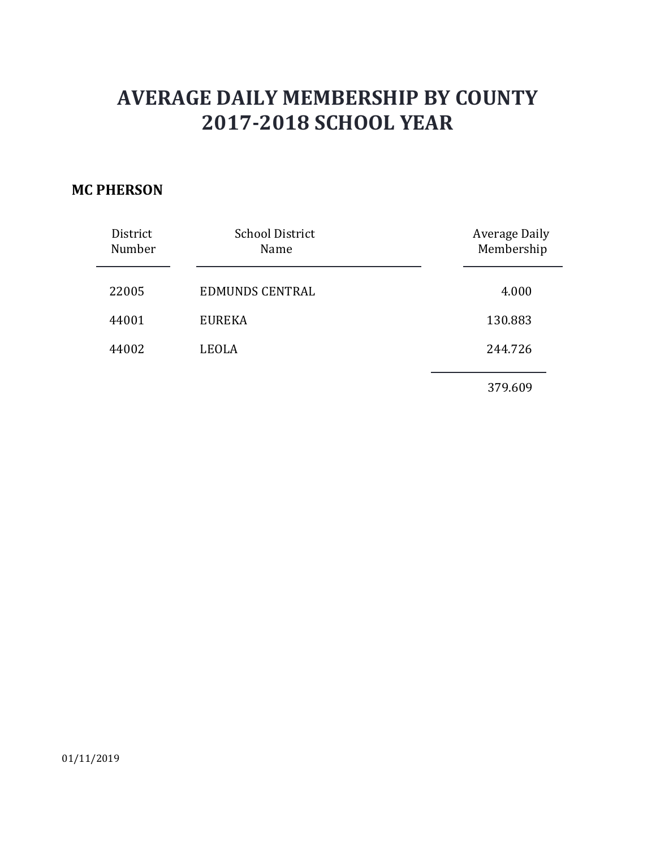#### **MC PHERSON**

| District<br>Number | <b>School District</b><br>Name | <b>Average Daily</b><br>Membership |
|--------------------|--------------------------------|------------------------------------|
| 22005              | <b>EDMUNDS CENTRAL</b>         | 4.000                              |
| 44001              | <b>EUREKA</b>                  | 130.883                            |
| 44002              | LEOLA                          | 244.726                            |
|                    |                                | 379.609                            |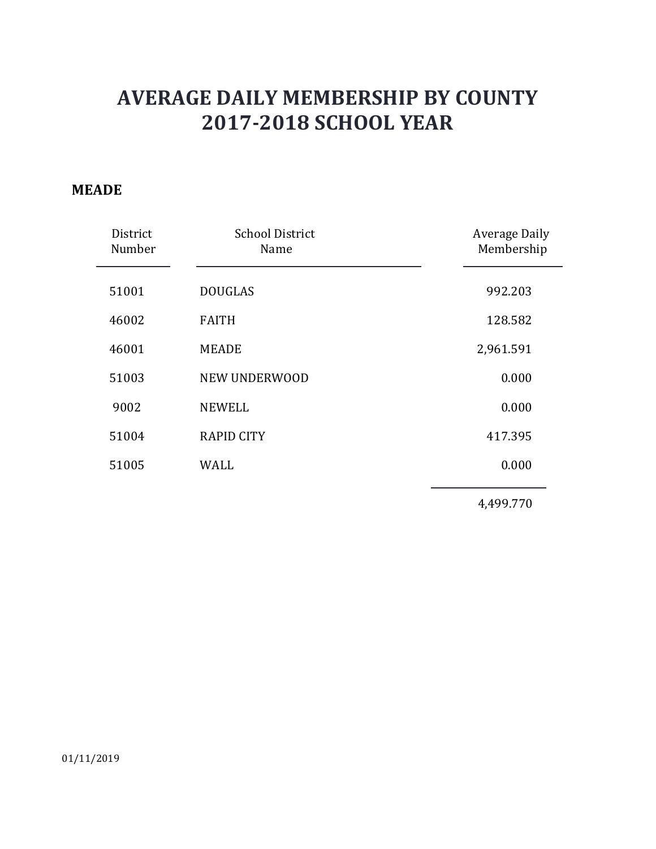#### **MEADE**

| District<br>Number | <b>School District</b><br>Name | <b>Average Daily</b><br>Membership |
|--------------------|--------------------------------|------------------------------------|
| 51001              | <b>DOUGLAS</b>                 | 992.203                            |
| 46002              | <b>FAITH</b>                   | 128.582                            |
| 46001              | <b>MEADE</b>                   | 2,961.591                          |
| 51003              | NEW UNDERWOOD                  | 0.000                              |
| 9002               | <b>NEWELL</b>                  | 0.000                              |
| 51004              | <b>RAPID CITY</b>              | 417.395                            |
| 51005              | <b>WALL</b>                    | 0.000                              |
|                    |                                | 4,499.770                          |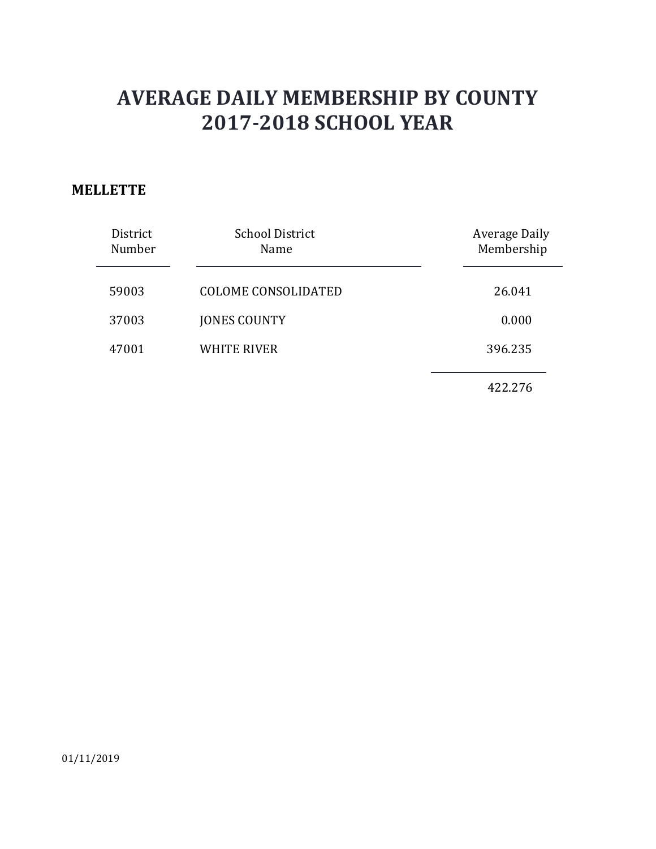#### **MELLETTE**

| District<br>Number | <b>School District</b><br>Name | <b>Average Daily</b><br>Membership |
|--------------------|--------------------------------|------------------------------------|
| 59003              | <b>COLOME CONSOLIDATED</b>     | 26.041                             |
| 37003              | <b>JONES COUNTY</b>            | 0.000                              |
| 47001              | <b>WHITE RIVER</b>             | 396.235                            |
|                    |                                | 422.276                            |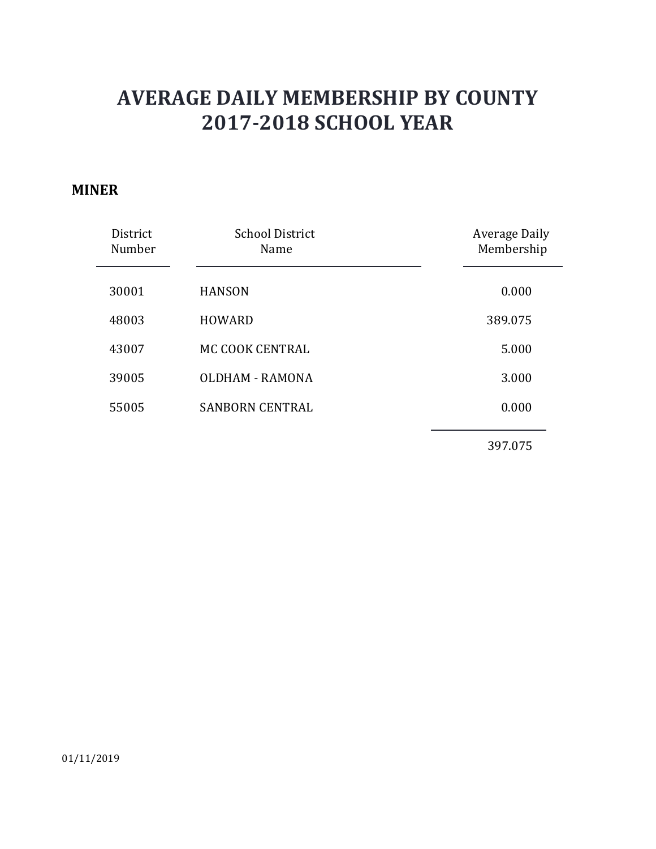#### **MINER**

| District<br>Number | <b>School District</b><br>Name | <b>Average Daily</b><br>Membership |
|--------------------|--------------------------------|------------------------------------|
| 30001              | <b>HANSON</b>                  | 0.000                              |
| 48003              | <b>HOWARD</b>                  | 389.075                            |
| 43007              | MC COOK CENTRAL                | 5.000                              |
| 39005              | OLDHAM - RAMONA                | 3.000                              |
| 55005              | <b>SANBORN CENTRAL</b>         | 0.000                              |
|                    |                                |                                    |

397.075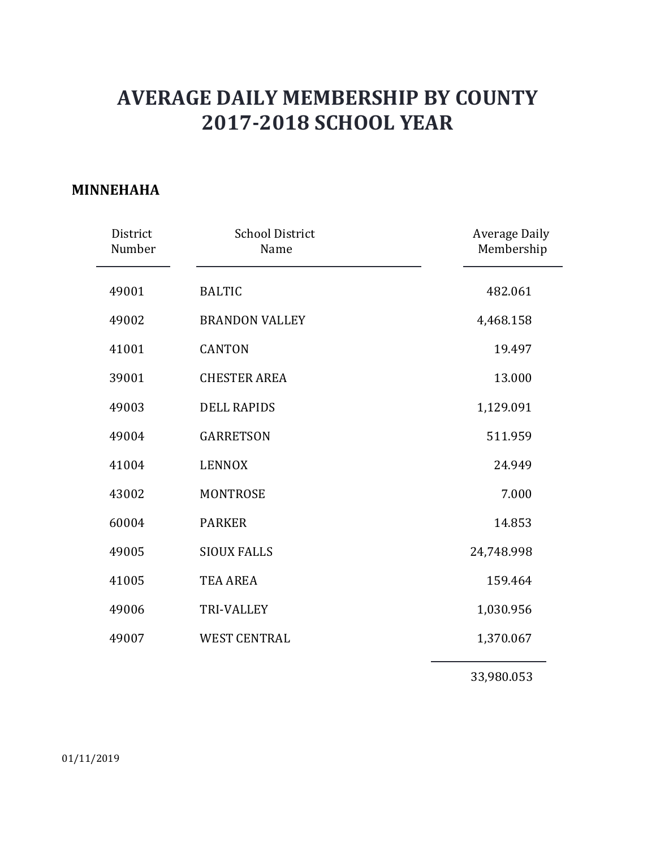#### **MINNEHAHA**

| District<br>Number | <b>School District</b><br>Name | <b>Average Daily</b><br>Membership |
|--------------------|--------------------------------|------------------------------------|
| 49001              | <b>BALTIC</b>                  | 482.061                            |
| 49002              | <b>BRANDON VALLEY</b>          | 4,468.158                          |
| 41001              | <b>CANTON</b>                  | 19.497                             |
| 39001              | <b>CHESTER AREA</b>            | 13.000                             |
| 49003              | <b>DELL RAPIDS</b>             | 1,129.091                          |
| 49004              | <b>GARRETSON</b>               | 511.959                            |
| 41004              | <b>LENNOX</b>                  | 24.949                             |
| 43002              | <b>MONTROSE</b>                | 7.000                              |
| 60004              | <b>PARKER</b>                  | 14.853                             |
| 49005              | <b>SIOUX FALLS</b>             | 24,748.998                         |
| 41005              | <b>TEA AREA</b>                | 159.464                            |
| 49006              | <b>TRI-VALLEY</b>              | 1,030.956                          |
| 49007              | <b>WEST CENTRAL</b>            | 1,370.067                          |
|                    |                                |                                    |

33,980.053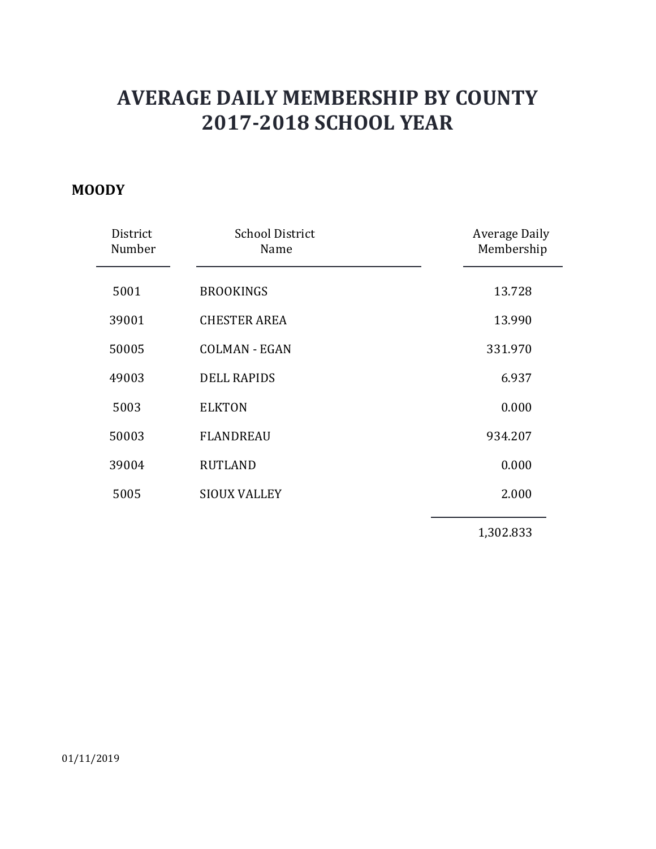#### **MOODY**

| District<br>Number | <b>School District</b><br>Name | Average Daily<br>Membership |
|--------------------|--------------------------------|-----------------------------|
| 5001               | <b>BROOKINGS</b>               | 13.728                      |
| 39001              | <b>CHESTER AREA</b>            | 13.990                      |
| 50005              | <b>COLMAN - EGAN</b>           | 331.970                     |
| 49003              | <b>DELL RAPIDS</b>             | 6.937                       |
| 5003               | <b>ELKTON</b>                  | 0.000                       |
| 50003              | <b>FLANDREAU</b>               | 934.207                     |
| 39004              | <b>RUTLAND</b>                 | 0.000                       |
| 5005               | <b>SIOUX VALLEY</b>            | 2.000                       |
|                    |                                | 1,302.833                   |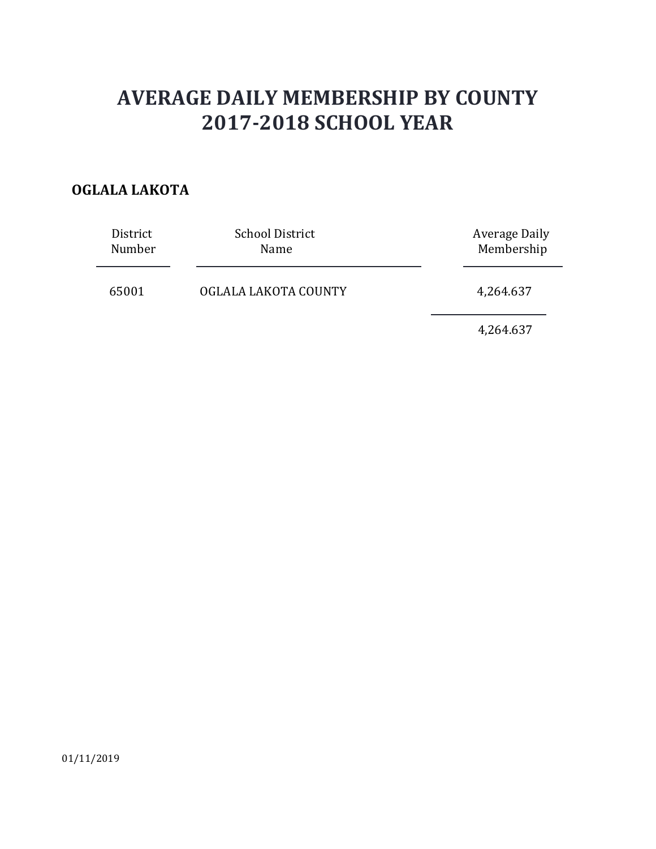### **OGLALA LAKOTA**

| District | <b>School District</b> | Average Daily |
|----------|------------------------|---------------|
| Number   | Name                   | Membership    |
| 65001    | OGLALA LAKOTA COUNTY   | 4,264.637     |

4,264.637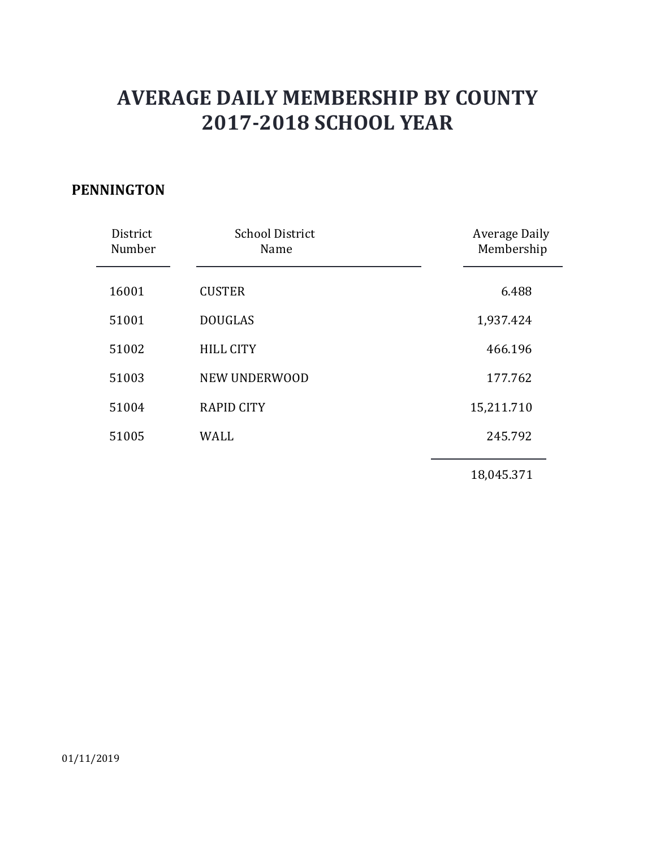#### **PENNINGTON**

| District<br>Number | <b>School District</b><br>Name | <b>Average Daily</b><br>Membership |
|--------------------|--------------------------------|------------------------------------|
| 16001              | <b>CUSTER</b>                  | 6.488                              |
| 51001              | <b>DOUGLAS</b>                 | 1,937.424                          |
| 51002              | <b>HILL CITY</b>               | 466.196                            |
| 51003              | NEW UNDERWOOD                  | 177.762                            |
| 51004              | <b>RAPID CITY</b>              | 15,211.710                         |
| 51005              | <b>WALL</b>                    | 245.792                            |
|                    |                                | 18,045.371                         |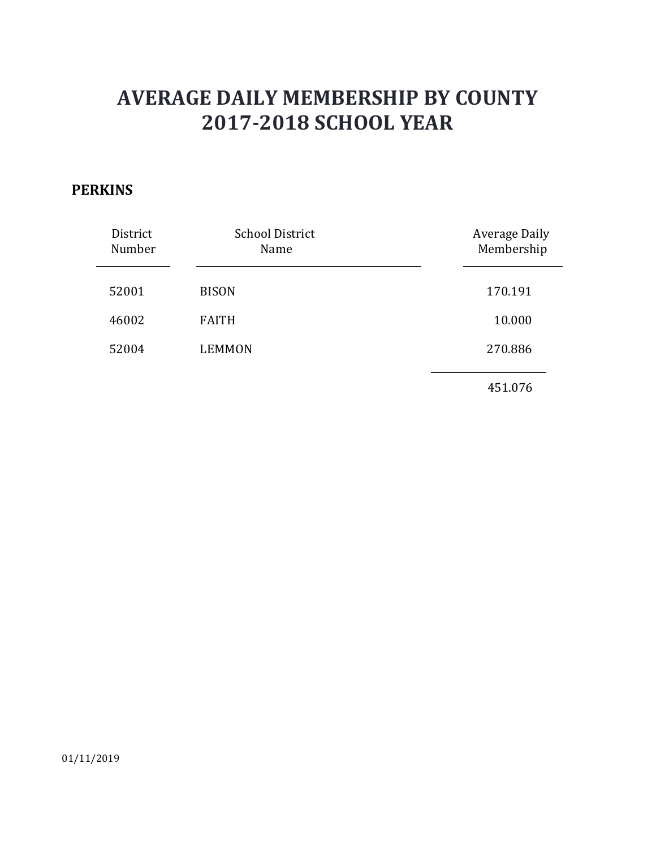#### **PERKINS**

| District<br>Number | <b>School District</b><br>Name | <b>Average Daily</b><br>Membership |
|--------------------|--------------------------------|------------------------------------|
| 52001              | <b>BISON</b>                   | 170.191                            |
| 46002              | <b>FAITH</b>                   | 10.000                             |
| 52004              | <b>LEMMON</b>                  | 270.886                            |
|                    |                                | 451.076                            |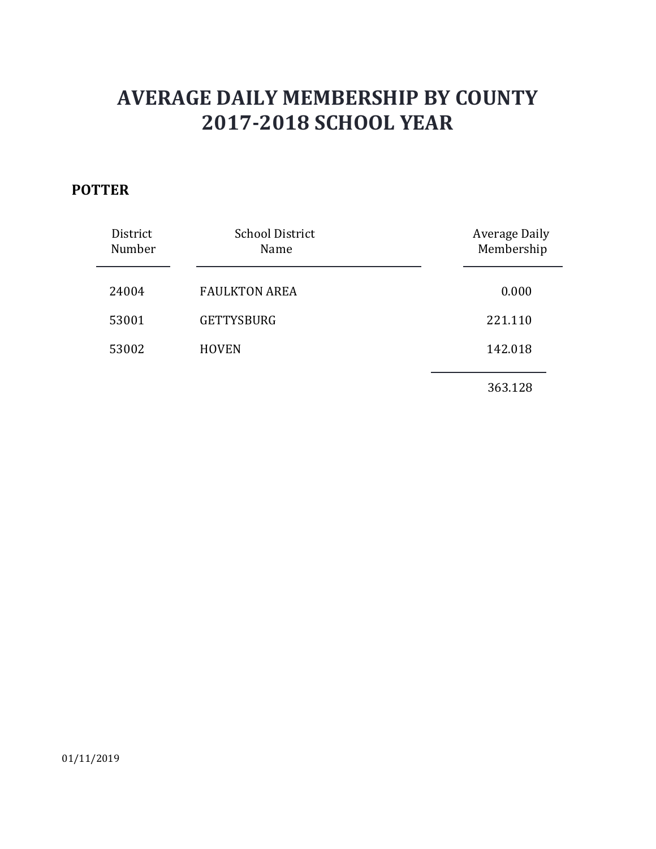### **POTTER**

| District<br>Number | <b>School District</b><br>Name | <b>Average Daily</b><br>Membership |
|--------------------|--------------------------------|------------------------------------|
| 24004              | <b>FAULKTON AREA</b>           | 0.000                              |
| 53001              | <b>GETTYSBURG</b>              | 221.110                            |
| 53002              | <b>HOVEN</b>                   | 142.018                            |
|                    |                                | 363.128                            |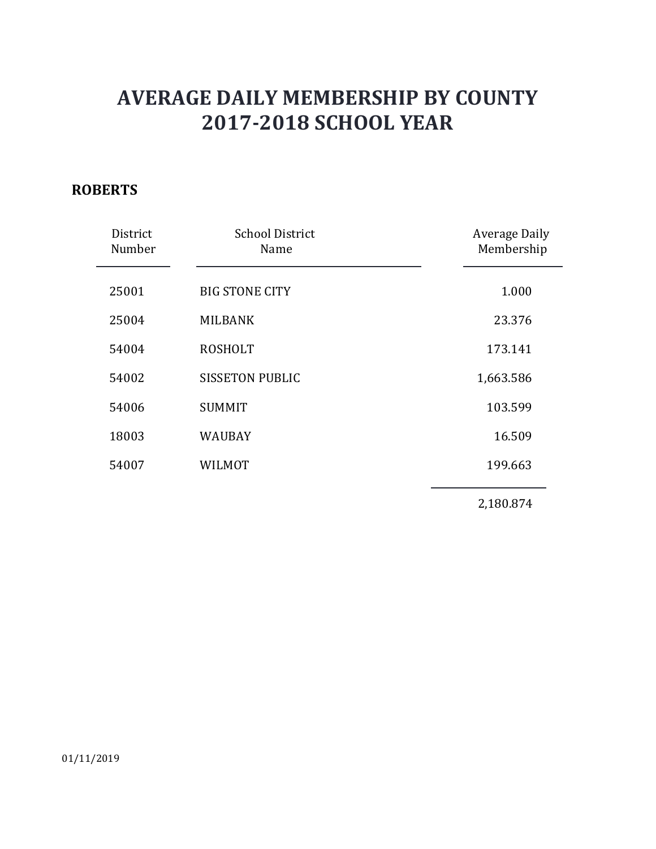### **ROBERTS**

| District<br>Number | <b>School District</b><br>Name | <b>Average Daily</b><br>Membership |
|--------------------|--------------------------------|------------------------------------|
|                    |                                |                                    |
| 25001              | <b>BIG STONE CITY</b>          | 1.000                              |
| 25004              | <b>MILBANK</b>                 | 23.376                             |
| 54004              | <b>ROSHOLT</b>                 | 173.141                            |
| 54002              | <b>SISSETON PUBLIC</b>         | 1,663.586                          |
| 54006              | <b>SUMMIT</b>                  | 103.599                            |
| 18003              | WAUBAY                         | 16.509                             |
| 54007              | WILMOT                         | 199.663                            |
|                    |                                | 2,180.874                          |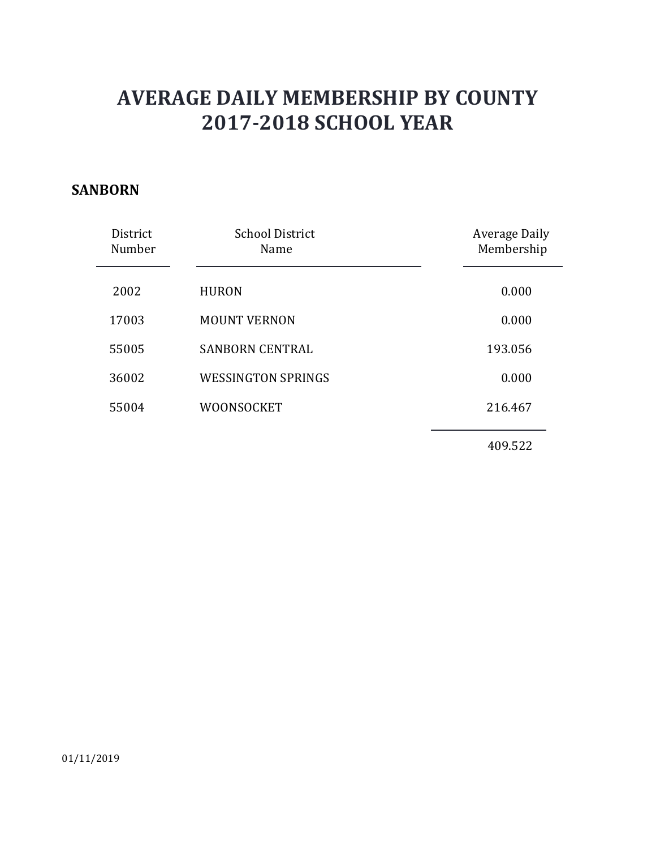#### **SANBORN**

| District<br>Number | <b>School District</b><br>Name | <b>Average Daily</b><br>Membership |
|--------------------|--------------------------------|------------------------------------|
| 2002               | <b>HURON</b>                   | 0.000                              |
| 17003              | <b>MOUNT VERNON</b>            | 0.000                              |
| 55005              | <b>SANBORN CENTRAL</b>         | 193.056                            |
| 36002              | <b>WESSINGTON SPRINGS</b>      | 0.000                              |
| 55004              | <b>WOONSOCKET</b>              | 216.467                            |
|                    |                                |                                    |

409.522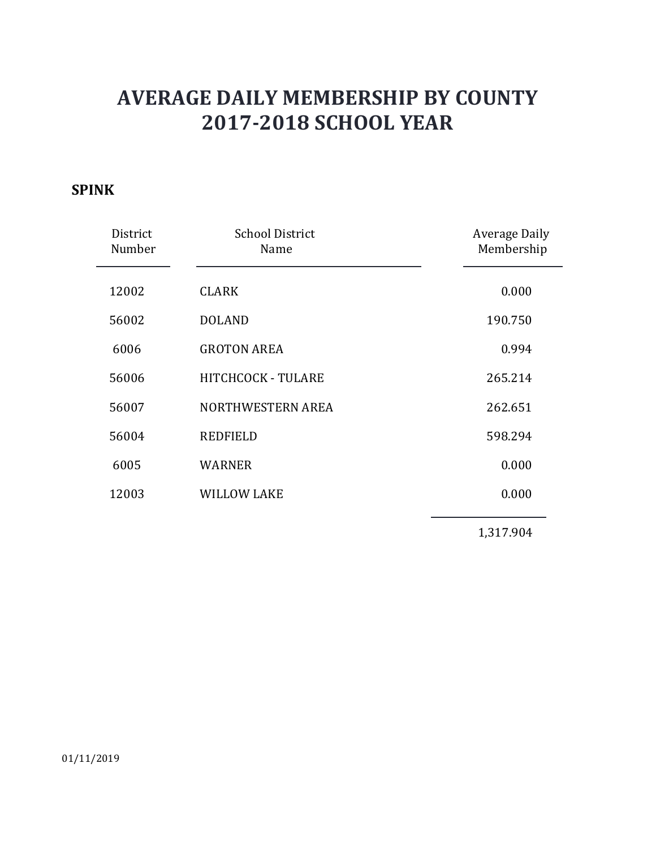### **SPINK**

| District<br>Number | <b>School District</b><br>Name | <b>Average Daily</b><br>Membership |
|--------------------|--------------------------------|------------------------------------|
| 12002              | <b>CLARK</b>                   | 0.000                              |
| 56002              | <b>DOLAND</b>                  | 190.750                            |
| 6006               | <b>GROTON AREA</b>             | 0.994                              |
| 56006              | HITCHCOCK - TULARE             | 265.214                            |
| 56007              | NORTHWESTERN AREA              | 262.651                            |
| 56004              | <b>REDFIELD</b>                | 598.294                            |
| 6005               | <b>WARNER</b>                  | 0.000                              |
| 12003              | <b>WILLOW LAKE</b>             | 0.000                              |
|                    |                                | 1,317.904                          |

01/11/2019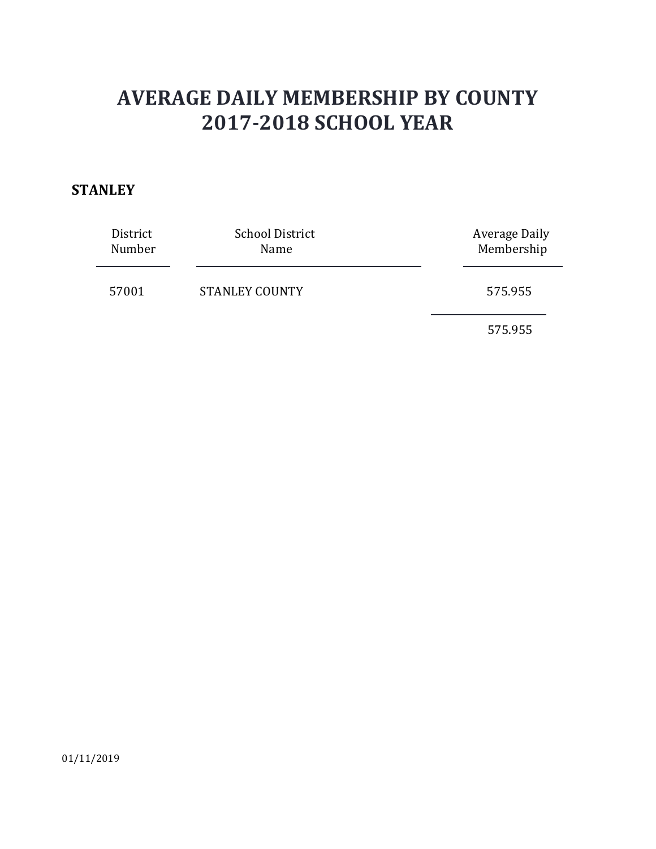#### **STANLEY**

| District<br>Number | <b>School District</b><br>Name | <b>Average Daily</b><br>Membership |
|--------------------|--------------------------------|------------------------------------|
| 57001              | <b>STANLEY COUNTY</b>          | 575.955                            |
|                    |                                | 575.955                            |

01/11/2019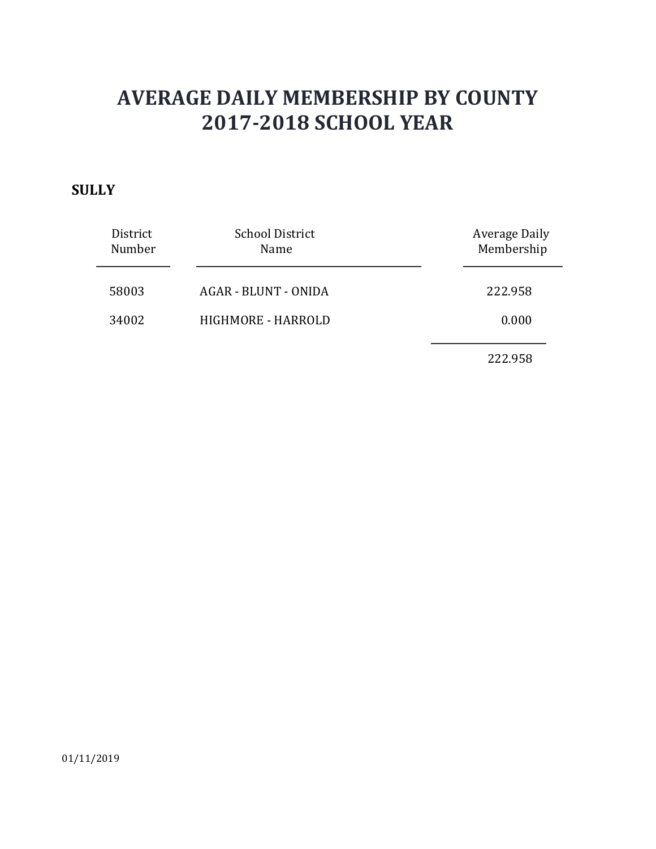#### **SULLY**

| District<br>Number | <b>School District</b><br>Name | Average Daily<br>Membership |
|--------------------|--------------------------------|-----------------------------|
| 58003              | AGAR - BLUNT - ONIDA           | 222.958                     |
| 34002              | HIGHMORE - HARROLD             | 0.000                       |
|                    |                                | 222.958                     |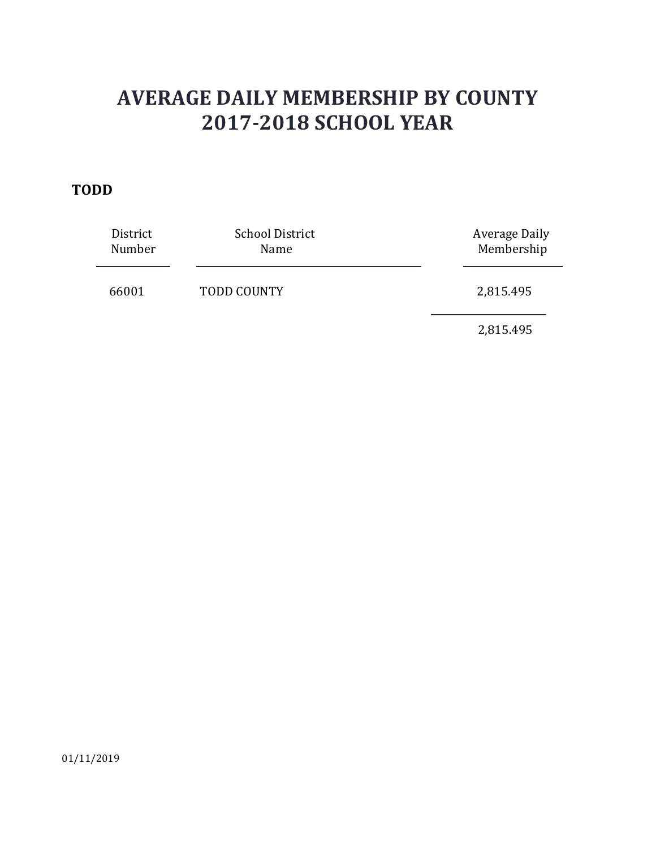#### **TODD**

| District<br>Number | <b>School District</b><br>Name | <b>Average Daily</b><br>Membership |
|--------------------|--------------------------------|------------------------------------|
| 66001              | <b>TODD COUNTY</b>             | 2,815.495                          |
|                    |                                | 2,815.495                          |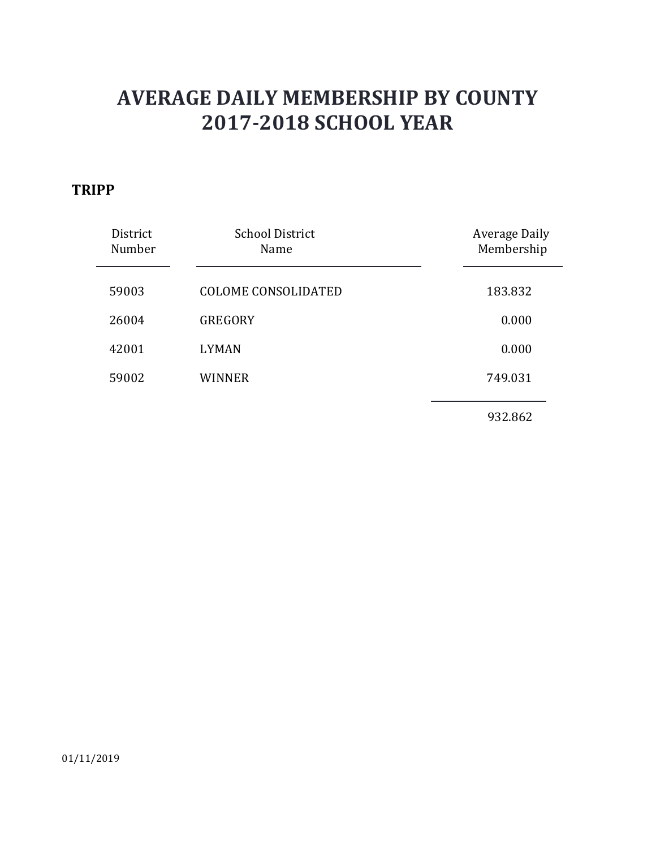### **TRIPP**

| District<br>Number | <b>School District</b><br>Name | Average Daily<br>Membership |
|--------------------|--------------------------------|-----------------------------|
| 59003              | <b>COLOME CONSOLIDATED</b>     | 183.832                     |
| 26004              | <b>GREGORY</b>                 | 0.000                       |
| 42001              | <b>LYMAN</b>                   | 0.000                       |
| 59002              | WINNER                         | 749.031                     |
|                    |                                | 932.862                     |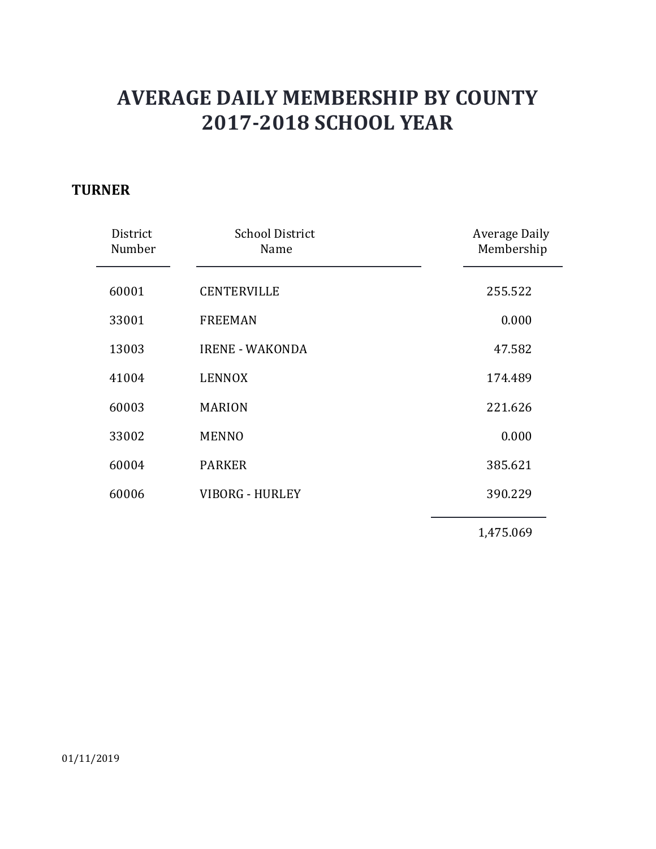#### **TURNER**

| District<br>Number | <b>School District</b><br>Name | <b>Average Daily</b><br>Membership |
|--------------------|--------------------------------|------------------------------------|
| 60001              | <b>CENTERVILLE</b>             | 255.522                            |
| 33001              | <b>FREEMAN</b>                 | 0.000                              |
| 13003              | <b>IRENE - WAKONDA</b>         | 47.582                             |
| 41004              | <b>LENNOX</b>                  | 174.489                            |
| 60003              | <b>MARION</b>                  | 221.626                            |
| 33002              | <b>MENNO</b>                   | 0.000                              |
| 60004              | <b>PARKER</b>                  | 385.621                            |
| 60006              | <b>VIBORG - HURLEY</b>         | 390.229                            |
|                    |                                | 1,475.069                          |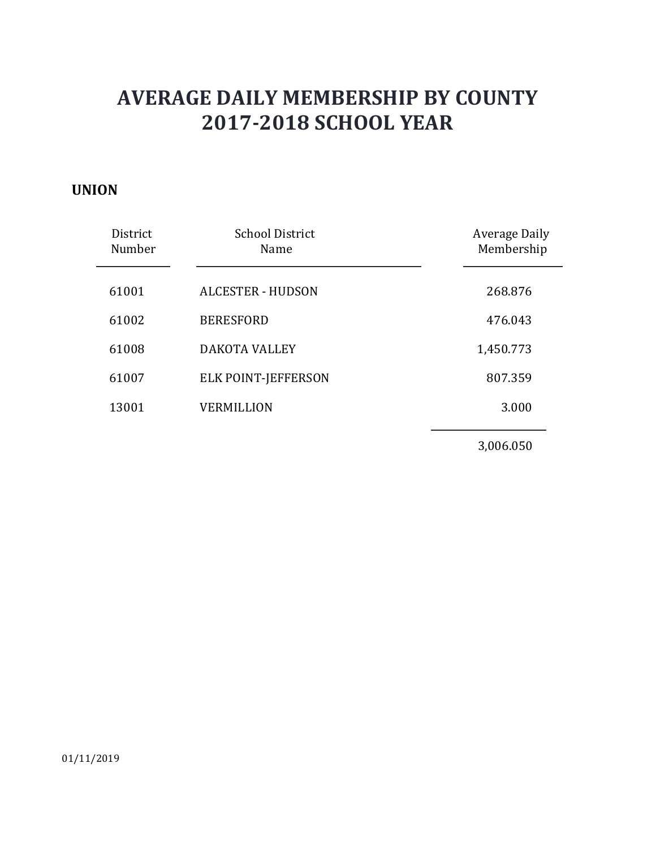#### **UNION**

| District<br>Number | <b>School District</b><br>Name | <b>Average Daily</b><br>Membership |
|--------------------|--------------------------------|------------------------------------|
| 61001              | <b>ALCESTER - HUDSON</b>       | 268.876                            |
| 61002              | <b>BERESFORD</b>               | 476.043                            |
| 61008              | <b>DAKOTA VALLEY</b>           | 1,450.773                          |
| 61007              | ELK POINT-JEFFERSON            | 807.359                            |
| 13001              | <b>VERMILLION</b>              | 3.000                              |
|                    |                                |                                    |

3,006.050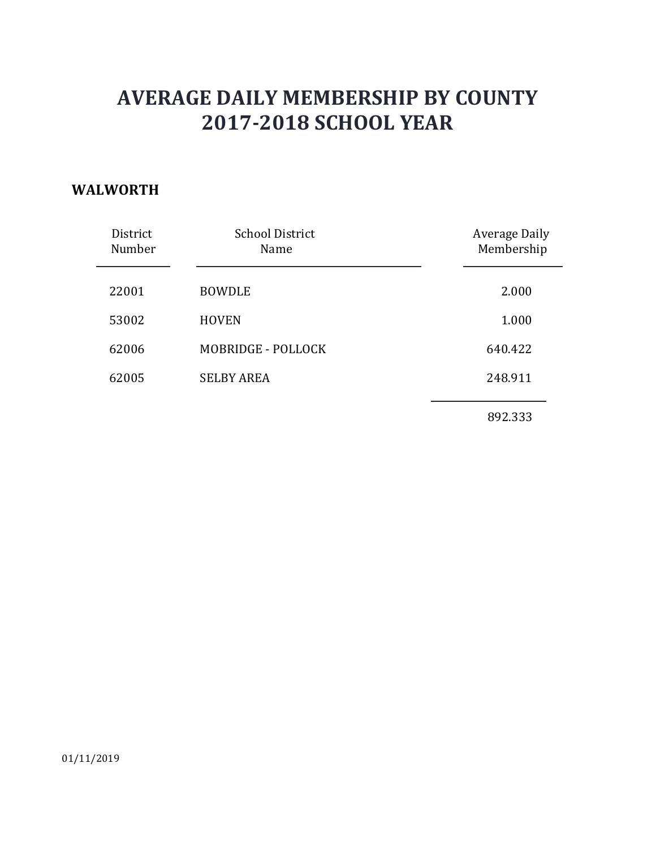#### **WALWORTH**

| District<br>Number | <b>School District</b><br>Name | Average Daily<br>Membership |
|--------------------|--------------------------------|-----------------------------|
| 22001              | <b>BOWDLE</b>                  | 2.000                       |
| 53002              | <b>HOVEN</b>                   | 1.000                       |
| 62006              | MOBRIDGE - POLLOCK             | 640.422                     |
| 62005              | <b>SELBY AREA</b>              | 248.911                     |
|                    |                                | 892.333                     |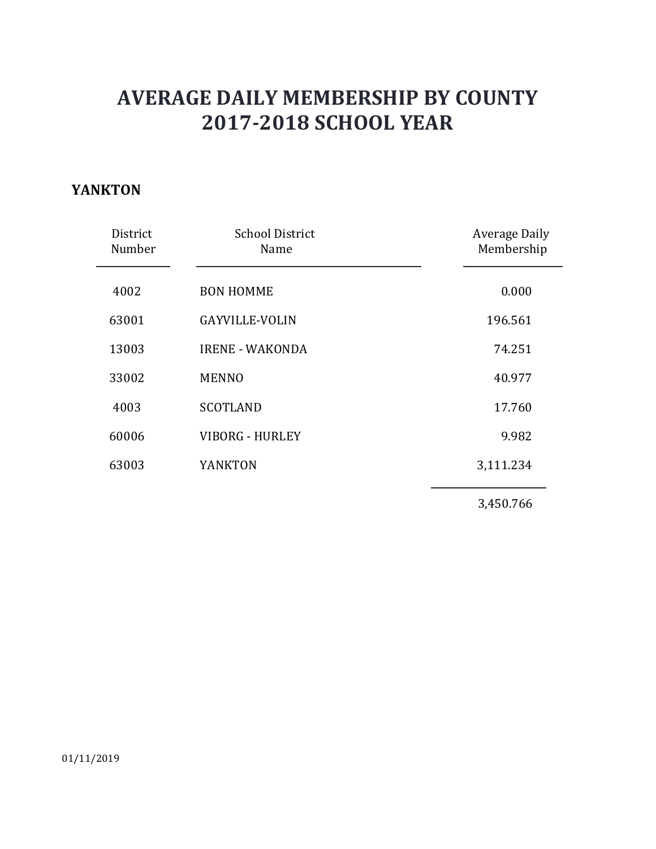### **YANKTON**

| District<br>Number | <b>School District</b><br>Name | <b>Average Daily</b><br>Membership |
|--------------------|--------------------------------|------------------------------------|
| 4002               | <b>BON HOMME</b>               | 0.000                              |
| 63001              | <b>GAYVILLE-VOLIN</b>          | 196.561                            |
| 13003              | <b>IRENE - WAKONDA</b>         | 74.251                             |
| 33002              | <b>MENNO</b>                   | 40.977                             |
| 4003               | <b>SCOTLAND</b>                | 17.760                             |
| 60006              | <b>VIBORG - HURLEY</b>         | 9.982                              |
| 63003              | YANKTON                        | 3,111.234                          |
|                    |                                | 3,450.766                          |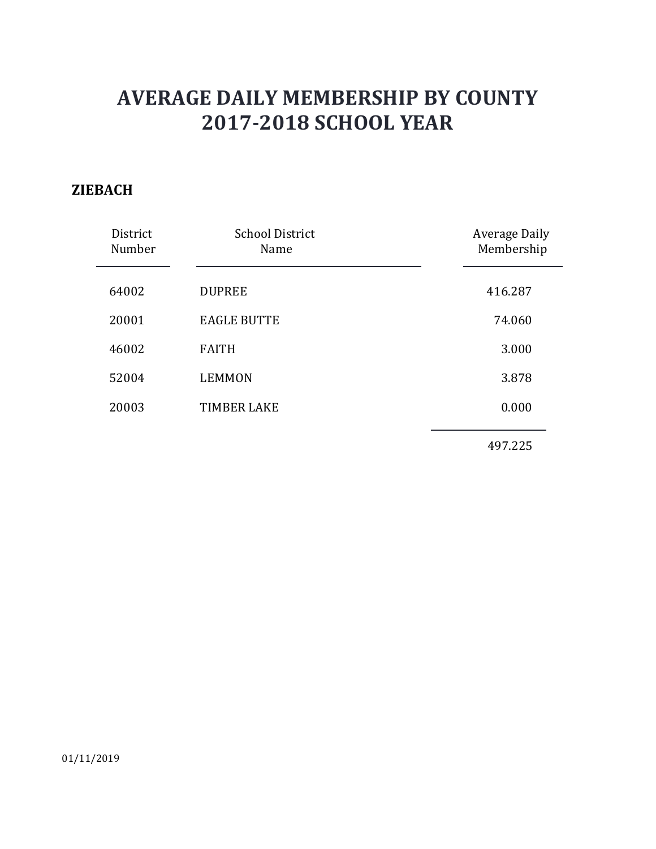#### **ZIEBACH**

| District<br>Number | <b>School District</b><br>Name | <b>Average Daily</b><br>Membership |
|--------------------|--------------------------------|------------------------------------|
| 64002              | <b>DUPREE</b>                  | 416.287                            |
| 20001              | <b>EAGLE BUTTE</b>             | 74.060                             |
| 46002              | <b>FAITH</b>                   | 3.000                              |
| 52004              | <b>LEMMON</b>                  | 3.878                              |
| 20003              | <b>TIMBER LAKE</b>             | 0.000                              |
|                    |                                |                                    |

497.225